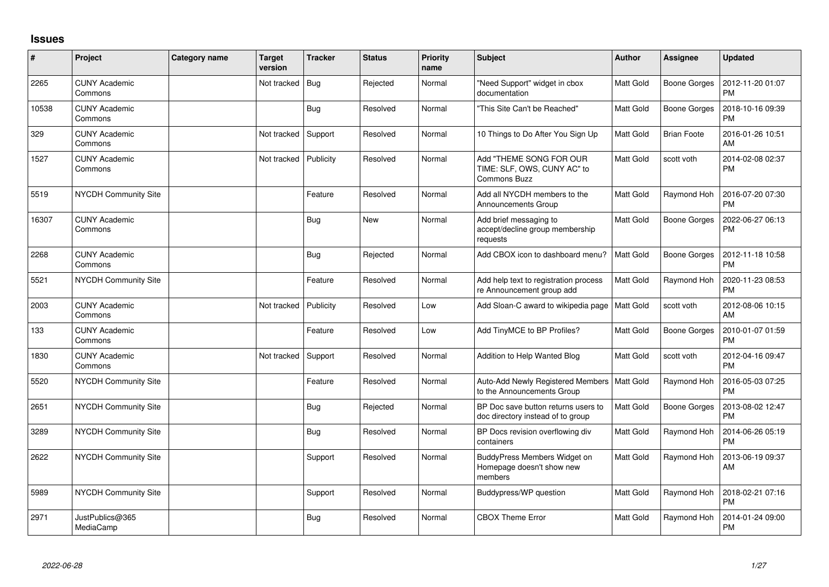## **Issues**

| #     | Project                         | Category name | <b>Target</b><br>version | <b>Tracker</b> | <b>Status</b> | <b>Priority</b><br>name | <b>Subject</b>                                                           | Author           | Assignee            | <b>Updated</b>                |
|-------|---------------------------------|---------------|--------------------------|----------------|---------------|-------------------------|--------------------------------------------------------------------------|------------------|---------------------|-------------------------------|
| 2265  | <b>CUNY Academic</b><br>Commons |               | Not tracked              | Bug            | Rejected      | Normal                  | "Need Support" widget in cbox<br>documentation                           | <b>Matt Gold</b> | <b>Boone Gorges</b> | 2012-11-20 01:07<br><b>PM</b> |
| 10538 | <b>CUNY Academic</b><br>Commons |               |                          | Bug            | Resolved      | Normal                  | "This Site Can't be Reached"                                             | <b>Matt Gold</b> | <b>Boone Gorges</b> | 2018-10-16 09:39<br><b>PM</b> |
| 329   | <b>CUNY Academic</b><br>Commons |               | Not tracked              | Support        | Resolved      | Normal                  | 10 Things to Do After You Sign Up                                        | Matt Gold        | <b>Brian Foote</b>  | 2016-01-26 10:51<br>AM        |
| 1527  | <b>CUNY Academic</b><br>Commons |               | Not tracked              | Publicity      | Resolved      | Normal                  | Add "THEME SONG FOR OUR<br>TIME: SLF, OWS, CUNY AC" to<br>Commons Buzz   | Matt Gold        | scott voth          | 2014-02-08 02:37<br><b>PM</b> |
| 5519  | <b>NYCDH Community Site</b>     |               |                          | Feature        | Resolved      | Normal                  | Add all NYCDH members to the<br>Announcements Group                      | <b>Matt Gold</b> | Raymond Hoh         | 2016-07-20 07:30<br><b>PM</b> |
| 16307 | <b>CUNY Academic</b><br>Commons |               |                          | <b>Bug</b>     | <b>New</b>    | Normal                  | Add brief messaging to<br>accept/decline group membership<br>requests    | <b>Matt Gold</b> | <b>Boone Gorges</b> | 2022-06-27 06:13<br>PM        |
| 2268  | <b>CUNY Academic</b><br>Commons |               |                          | <b>Bug</b>     | Rejected      | Normal                  | Add CBOX icon to dashboard menu?                                         | <b>Matt Gold</b> | Boone Gorges        | 2012-11-18 10:58<br><b>PM</b> |
| 5521  | <b>NYCDH Community Site</b>     |               |                          | Feature        | Resolved      | Normal                  | Add help text to registration process<br>re Announcement group add       | Matt Gold        | Raymond Hoh         | 2020-11-23 08:53<br><b>PM</b> |
| 2003  | <b>CUNY Academic</b><br>Commons |               | Not tracked              | Publicity      | Resolved      | Low                     | Add Sloan-C award to wikipedia page                                      | Matt Gold        | scott voth          | 2012-08-06 10:15<br>AM        |
| 133   | <b>CUNY Academic</b><br>Commons |               |                          | Feature        | Resolved      | Low                     | Add TinyMCE to BP Profiles?                                              | <b>Matt Gold</b> | Boone Gorges        | 2010-01-07 01:59<br><b>PM</b> |
| 1830  | <b>CUNY Academic</b><br>Commons |               | Not tracked              | Support        | Resolved      | Normal                  | Addition to Help Wanted Blog                                             | Matt Gold        | scott voth          | 2012-04-16 09:47<br><b>PM</b> |
| 5520  | NYCDH Community Site            |               |                          | Feature        | Resolved      | Normal                  | Auto-Add Newly Registered Members<br>to the Announcements Group          | Matt Gold        | Raymond Hoh         | 2016-05-03 07:25<br><b>PM</b> |
| 2651  | NYCDH Community Site            |               |                          | <b>Bug</b>     | Rejected      | Normal                  | BP Doc save button returns users to<br>doc directory instead of to group | <b>Matt Gold</b> | Boone Gorges        | 2013-08-02 12:47<br><b>PM</b> |
| 3289  | NYCDH Community Site            |               |                          | <b>Bug</b>     | Resolved      | Normal                  | BP Docs revision overflowing div<br>containers                           | Matt Gold        | Raymond Hoh         | 2014-06-26 05:19<br><b>PM</b> |
| 2622  | <b>NYCDH Community Site</b>     |               |                          | Support        | Resolved      | Normal                  | BuddyPress Members Widget on<br>Homepage doesn't show new<br>members     | Matt Gold        | Raymond Hoh         | 2013-06-19 09:37<br>AM        |
| 5989  | <b>NYCDH Community Site</b>     |               |                          | Support        | Resolved      | Normal                  | Buddypress/WP question                                                   | <b>Matt Gold</b> | Raymond Hoh         | 2018-02-21 07:16<br><b>PM</b> |
| 2971  | JustPublics@365<br>MediaCamp    |               |                          | <b>Bug</b>     | Resolved      | Normal                  | <b>CBOX Theme Error</b>                                                  | <b>Matt Gold</b> | Raymond Hoh         | 2014-01-24 09:00<br><b>PM</b> |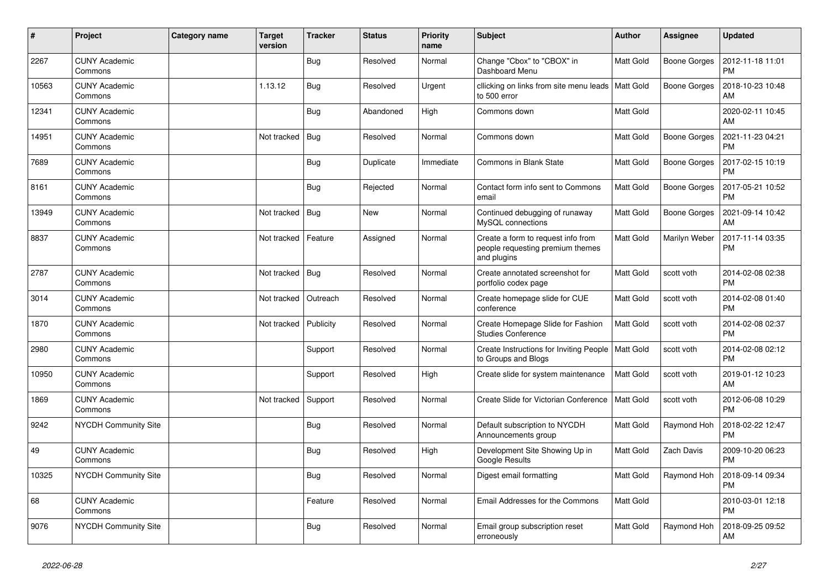| $\vert$ # | Project                         | Category name | <b>Target</b><br>version | <b>Tracker</b> | <b>Status</b> | <b>Priority</b><br>name | <b>Subject</b>                                                                        | <b>Author</b>    | <b>Assignee</b>     | <b>Updated</b>                |
|-----------|---------------------------------|---------------|--------------------------|----------------|---------------|-------------------------|---------------------------------------------------------------------------------------|------------------|---------------------|-------------------------------|
| 2267      | <b>CUNY Academic</b><br>Commons |               |                          | <b>Bug</b>     | Resolved      | Normal                  | Change "Cbox" to "CBOX" in<br>Dashboard Menu                                          | <b>Matt Gold</b> | Boone Gorges        | 2012-11-18 11:01<br><b>PM</b> |
| 10563     | <b>CUNY Academic</b><br>Commons |               | 1.13.12                  | <b>Bug</b>     | Resolved      | Urgent                  | cllicking on links from site menu leads<br>to 500 error                               | <b>Matt Gold</b> | Boone Gorges        | 2018-10-23 10:48<br>AM        |
| 12341     | <b>CUNY Academic</b><br>Commons |               |                          | <b>Bug</b>     | Abandoned     | High                    | Commons down                                                                          | Matt Gold        |                     | 2020-02-11 10:45<br>AM        |
| 14951     | <b>CUNY Academic</b><br>Commons |               | Not tracked              | Bug            | Resolved      | Normal                  | Commons down                                                                          | <b>Matt Gold</b> | Boone Gorges        | 2021-11-23 04:21<br><b>PM</b> |
| 7689      | <b>CUNY Academic</b><br>Commons |               |                          | Bug            | Duplicate     | Immediate               | Commons in Blank State                                                                | <b>Matt Gold</b> | <b>Boone Gorges</b> | 2017-02-15 10:19<br><b>PM</b> |
| 8161      | <b>CUNY Academic</b><br>Commons |               |                          | <b>Bug</b>     | Rejected      | Normal                  | Contact form info sent to Commons<br>email                                            | <b>Matt Gold</b> | Boone Gorges        | 2017-05-21 10:52<br><b>PM</b> |
| 13949     | <b>CUNY Academic</b><br>Commons |               | Not tracked              | Bug            | <b>New</b>    | Normal                  | Continued debugging of runaway<br>MySQL connections                                   | Matt Gold        | Boone Gorges        | 2021-09-14 10:42<br>AM        |
| 8837      | <b>CUNY Academic</b><br>Commons |               | Not tracked              | Feature        | Assigned      | Normal                  | Create a form to request info from<br>people requesting premium themes<br>and plugins | Matt Gold        | Marilyn Weber       | 2017-11-14 03:35<br>PM        |
| 2787      | <b>CUNY Academic</b><br>Commons |               | Not tracked              | <b>Bug</b>     | Resolved      | Normal                  | Create annotated screenshot for<br>portfolio codex page                               | <b>Matt Gold</b> | scott voth          | 2014-02-08 02:38<br><b>PM</b> |
| 3014      | <b>CUNY Academic</b><br>Commons |               | Not tracked              | Outreach       | Resolved      | Normal                  | Create homepage slide for CUE<br>conference                                           | <b>Matt Gold</b> | scott voth          | 2014-02-08 01:40<br><b>PM</b> |
| 1870      | <b>CUNY Academic</b><br>Commons |               | Not tracked              | Publicity      | Resolved      | Normal                  | Create Homepage Slide for Fashion<br><b>Studies Conference</b>                        | Matt Gold        | scott voth          | 2014-02-08 02:37<br><b>PM</b> |
| 2980      | <b>CUNY Academic</b><br>Commons |               |                          | Support        | Resolved      | Normal                  | Create Instructions for Inviting People   Matt Gold<br>to Groups and Blogs            |                  | scott voth          | 2014-02-08 02:12<br><b>PM</b> |
| 10950     | <b>CUNY Academic</b><br>Commons |               |                          | Support        | Resolved      | High                    | Create slide for system maintenance                                                   | Matt Gold        | scott voth          | 2019-01-12 10:23<br>AM        |
| 1869      | <b>CUNY Academic</b><br>Commons |               | Not tracked              | Support        | Resolved      | Normal                  | Create Slide for Victorian Conference                                                 | <b>Matt Gold</b> | scott voth          | 2012-06-08 10:29<br><b>PM</b> |
| 9242      | <b>NYCDH Community Site</b>     |               |                          | <b>Bug</b>     | Resolved      | Normal                  | Default subscription to NYCDH<br>Announcements group                                  | Matt Gold        | Raymond Hoh         | 2018-02-22 12:47<br><b>PM</b> |
| 49        | <b>CUNY Academic</b><br>Commons |               |                          | <b>Bug</b>     | Resolved      | High                    | Development Site Showing Up in<br>Google Results                                      | Matt Gold        | Zach Davis          | 2009-10-20 06:23<br><b>PM</b> |
| 10325     | <b>NYCDH Community Site</b>     |               |                          | Bug            | Resolved      | Normal                  | Digest email formatting                                                               | Matt Gold        | Raymond Hoh         | 2018-09-14 09:34<br><b>PM</b> |
| 68        | <b>CUNY Academic</b><br>Commons |               |                          | Feature        | Resolved      | Normal                  | Email Addresses for the Commons                                                       | Matt Gold        |                     | 2010-03-01 12:18<br><b>PM</b> |
| 9076      | <b>NYCDH Community Site</b>     |               |                          | Bug            | Resolved      | Normal                  | Email group subscription reset<br>erroneously                                         | <b>Matt Gold</b> | Raymond Hoh         | 2018-09-25 09:52<br>AM        |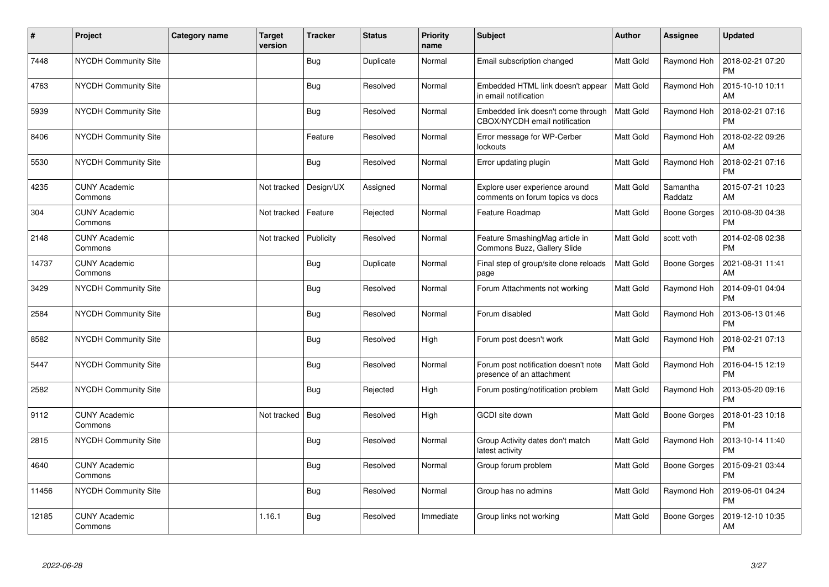| $\pmb{\sharp}$ | Project                         | <b>Category name</b> | <b>Target</b><br>version | <b>Tracker</b> | <b>Status</b> | <b>Priority</b><br>name | <b>Subject</b>                                                      | <b>Author</b>    | <b>Assignee</b>     | <b>Updated</b>                |
|----------------|---------------------------------|----------------------|--------------------------|----------------|---------------|-------------------------|---------------------------------------------------------------------|------------------|---------------------|-------------------------------|
| 7448           | <b>NYCDH Community Site</b>     |                      |                          | <b>Bug</b>     | Duplicate     | Normal                  | Email subscription changed                                          | <b>Matt Gold</b> | Raymond Hoh         | 2018-02-21 07:20<br><b>PM</b> |
| 4763           | NYCDH Community Site            |                      |                          | Bug            | Resolved      | Normal                  | Embedded HTML link doesn't appear<br>in email notification          | <b>Matt Gold</b> | Raymond Hoh         | 2015-10-10 10:11<br>AM        |
| 5939           | <b>NYCDH Community Site</b>     |                      |                          | <b>Bug</b>     | Resolved      | Normal                  | Embedded link doesn't come through<br>CBOX/NYCDH email notification | <b>Matt Gold</b> | Raymond Hoh         | 2018-02-21 07:16<br><b>PM</b> |
| 8406           | <b>NYCDH Community Site</b>     |                      |                          | Feature        | Resolved      | Normal                  | Error message for WP-Cerber<br>lockouts                             | Matt Gold        | Raymond Hoh         | 2018-02-22 09:26<br>AM        |
| 5530           | NYCDH Community Site            |                      |                          | <b>Bug</b>     | Resolved      | Normal                  | Error updating plugin                                               | <b>Matt Gold</b> | Raymond Hoh         | 2018-02-21 07:16<br><b>PM</b> |
| 4235           | <b>CUNY Academic</b><br>Commons |                      | Not tracked              | Design/UX      | Assigned      | Normal                  | Explore user experience around<br>comments on forum topics vs docs  | Matt Gold        | Samantha<br>Raddatz | 2015-07-21 10:23<br>AM        |
| 304            | <b>CUNY Academic</b><br>Commons |                      | Not tracked              | Feature        | Rejected      | Normal                  | Feature Roadmap                                                     | Matt Gold        | <b>Boone Gorges</b> | 2010-08-30 04:38<br><b>PM</b> |
| 2148           | <b>CUNY Academic</b><br>Commons |                      | Not tracked              | Publicity      | Resolved      | Normal                  | Feature SmashingMag article in<br>Commons Buzz, Gallery Slide       | <b>Matt Gold</b> | scott voth          | 2014-02-08 02:38<br><b>PM</b> |
| 14737          | <b>CUNY Academic</b><br>Commons |                      |                          | <b>Bug</b>     | Duplicate     | Normal                  | Final step of group/site clone reloads<br>page                      | <b>Matt Gold</b> | <b>Boone Gorges</b> | 2021-08-31 11:41<br><b>AM</b> |
| 3429           | <b>NYCDH Community Site</b>     |                      |                          | Bug            | Resolved      | Normal                  | Forum Attachments not working                                       | <b>Matt Gold</b> | Raymond Hoh         | 2014-09-01 04:04<br><b>PM</b> |
| 2584           | <b>NYCDH Community Site</b>     |                      |                          | <b>Bug</b>     | Resolved      | Normal                  | Forum disabled                                                      | <b>Matt Gold</b> | Raymond Hoh         | 2013-06-13 01:46<br><b>PM</b> |
| 8582           | NYCDH Community Site            |                      |                          | Bug            | Resolved      | High                    | Forum post doesn't work                                             | Matt Gold        | Raymond Hoh         | 2018-02-21 07:13<br><b>PM</b> |
| 5447           | <b>NYCDH Community Site</b>     |                      |                          | <b>Bug</b>     | Resolved      | Normal                  | Forum post notification doesn't note<br>presence of an attachment   | Matt Gold        | Raymond Hoh         | 2016-04-15 12:19<br><b>PM</b> |
| 2582           | NYCDH Community Site            |                      |                          | <b>Bug</b>     | Rejected      | High                    | Forum posting/notification problem                                  | <b>Matt Gold</b> | Raymond Hoh         | 2013-05-20 09:16<br><b>PM</b> |
| 9112           | <b>CUNY Academic</b><br>Commons |                      | Not tracked              | <b>Bug</b>     | Resolved      | High                    | GCDI site down                                                      | Matt Gold        | Boone Gorges        | 2018-01-23 10:18<br><b>PM</b> |
| 2815           | <b>NYCDH Community Site</b>     |                      |                          | Bug            | Resolved      | Normal                  | Group Activity dates don't match<br>latest activity                 | <b>Matt Gold</b> | Raymond Hoh         | 2013-10-14 11:40<br><b>PM</b> |
| 4640           | <b>CUNY Academic</b><br>Commons |                      |                          | <b>Bug</b>     | Resolved      | Normal                  | Group forum problem                                                 | <b>Matt Gold</b> | <b>Boone Gorges</b> | 2015-09-21 03:44<br><b>PM</b> |
| 11456          | <b>NYCDH Community Site</b>     |                      |                          | <b>Bug</b>     | Resolved      | Normal                  | Group has no admins                                                 | <b>Matt Gold</b> | Raymond Hoh         | 2019-06-01 04:24<br><b>PM</b> |
| 12185          | <b>CUNY Academic</b><br>Commons |                      | 1.16.1                   | Bug            | Resolved      | Immediate               | Group links not working                                             | <b>Matt Gold</b> | Boone Gorges        | 2019-12-10 10:35<br>AM        |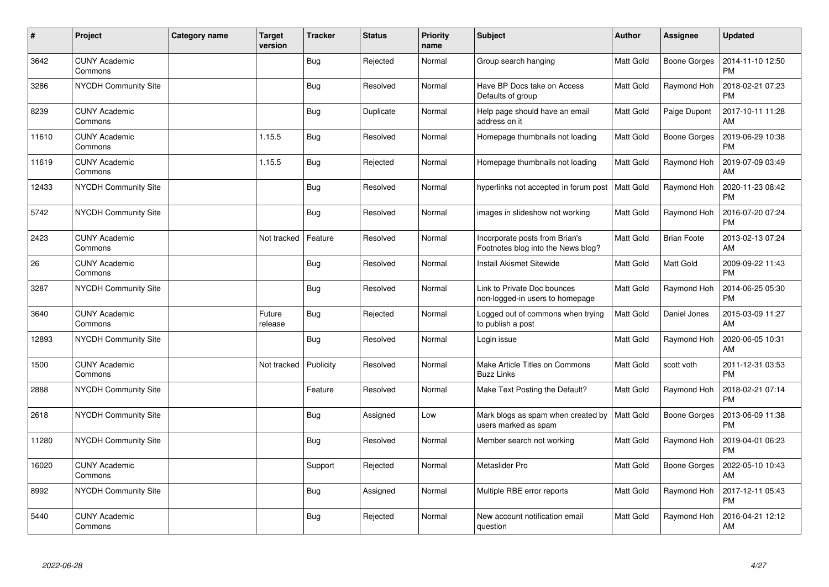| $\sharp$ | Project                         | <b>Category name</b> | <b>Target</b><br>version | <b>Tracker</b> | <b>Status</b> | <b>Priority</b><br>name | <b>Subject</b>                                                       | <b>Author</b>    | Assignee            | <b>Updated</b>                |
|----------|---------------------------------|----------------------|--------------------------|----------------|---------------|-------------------------|----------------------------------------------------------------------|------------------|---------------------|-------------------------------|
| 3642     | <b>CUNY Academic</b><br>Commons |                      |                          | Bug            | Rejected      | Normal                  | Group search hanging                                                 | <b>Matt Gold</b> | <b>Boone Gorges</b> | 2014-11-10 12:50<br><b>PM</b> |
| 3286     | NYCDH Community Site            |                      |                          | <b>Bug</b>     | Resolved      | Normal                  | Have BP Docs take on Access<br>Defaults of group                     | Matt Gold        | Raymond Hoh         | 2018-02-21 07:23<br><b>PM</b> |
| 8239     | <b>CUNY Academic</b><br>Commons |                      |                          | Bug            | Duplicate     | Normal                  | Help page should have an email<br>address on it                      | <b>Matt Gold</b> | Paige Dupont        | 2017-10-11 11:28<br>AM        |
| 11610    | <b>CUNY Academic</b><br>Commons |                      | 1.15.5                   | <b>Bug</b>     | Resolved      | Normal                  | Homepage thumbnails not loading                                      | Matt Gold        | Boone Gorges        | 2019-06-29 10:38<br><b>PM</b> |
| 11619    | <b>CUNY Academic</b><br>Commons |                      | 1.15.5                   | <b>Bug</b>     | Rejected      | Normal                  | Homepage thumbnails not loading                                      | Matt Gold        | Raymond Hoh         | 2019-07-09 03:49<br><b>AM</b> |
| 12433    | <b>NYCDH Community Site</b>     |                      |                          | Bug            | Resolved      | Normal                  | hyperlinks not accepted in forum post                                | <b>Matt Gold</b> | Raymond Hoh         | 2020-11-23 08:42<br><b>PM</b> |
| 5742     | NYCDH Community Site            |                      |                          | <b>Bug</b>     | Resolved      | Normal                  | images in slideshow not working                                      | Matt Gold        | Raymond Hoh         | 2016-07-20 07:24<br><b>PM</b> |
| 2423     | <b>CUNY Academic</b><br>Commons |                      | Not tracked              | Feature        | Resolved      | Normal                  | Incorporate posts from Brian's<br>Footnotes blog into the News blog? | <b>Matt Gold</b> | <b>Brian Foote</b>  | 2013-02-13 07:24<br>AM        |
| 26       | <b>CUNY Academic</b><br>Commons |                      |                          | <b>Bug</b>     | Resolved      | Normal                  | <b>Install Akismet Sitewide</b>                                      | <b>Matt Gold</b> | Matt Gold           | 2009-09-22 11:43<br><b>PM</b> |
| 3287     | NYCDH Community Site            |                      |                          | <b>Bug</b>     | Resolved      | Normal                  | Link to Private Doc bounces<br>non-logged-in users to homepage       | <b>Matt Gold</b> | Raymond Hoh         | 2014-06-25 05:30<br><b>PM</b> |
| 3640     | <b>CUNY Academic</b><br>Commons |                      | Future<br>release        | <b>Bug</b>     | Rejected      | Normal                  | Logged out of commons when trying<br>to publish a post               | <b>Matt Gold</b> | Daniel Jones        | 2015-03-09 11:27<br>AM        |
| 12893    | NYCDH Community Site            |                      |                          | <b>Bug</b>     | Resolved      | Normal                  | Login issue                                                          | Matt Gold        | Raymond Hoh         | 2020-06-05 10:31<br>AM        |
| 1500     | <b>CUNY Academic</b><br>Commons |                      | Not tracked              | Publicity      | Resolved      | Normal                  | Make Article Titles on Commons<br><b>Buzz Links</b>                  | Matt Gold        | scott voth          | 2011-12-31 03:53<br><b>PM</b> |
| 2888     | <b>NYCDH Community Site</b>     |                      |                          | Feature        | Resolved      | Normal                  | Make Text Posting the Default?                                       | Matt Gold        | Raymond Hoh         | 2018-02-21 07:14<br><b>PM</b> |
| 2618     | NYCDH Community Site            |                      |                          | <b>Bug</b>     | Assigned      | Low                     | Mark blogs as spam when created by<br>users marked as spam           | Matt Gold        | <b>Boone Gorges</b> | 2013-06-09 11:38<br><b>PM</b> |
| 11280    | <b>NYCDH Community Site</b>     |                      |                          | Bug            | Resolved      | Normal                  | Member search not working                                            | <b>Matt Gold</b> | Raymond Hoh         | 2019-04-01 06:23<br><b>PM</b> |
| 16020    | <b>CUNY Academic</b><br>Commons |                      |                          | Support        | Rejected      | Normal                  | Metaslider Pro                                                       | Matt Gold        | Boone Gorges        | 2022-05-10 10:43<br>AM        |
| 8992     | <b>NYCDH Community Site</b>     |                      |                          | Bug            | Assigned      | Normal                  | Multiple RBE error reports                                           | <b>Matt Gold</b> | Raymond Hoh         | 2017-12-11 05:43<br><b>PM</b> |
| 5440     | <b>CUNY Academic</b><br>Commons |                      |                          | <b>Bug</b>     | Rejected      | Normal                  | New account notification email<br>question                           | <b>Matt Gold</b> | Raymond Hoh         | 2016-04-21 12:12<br>AM        |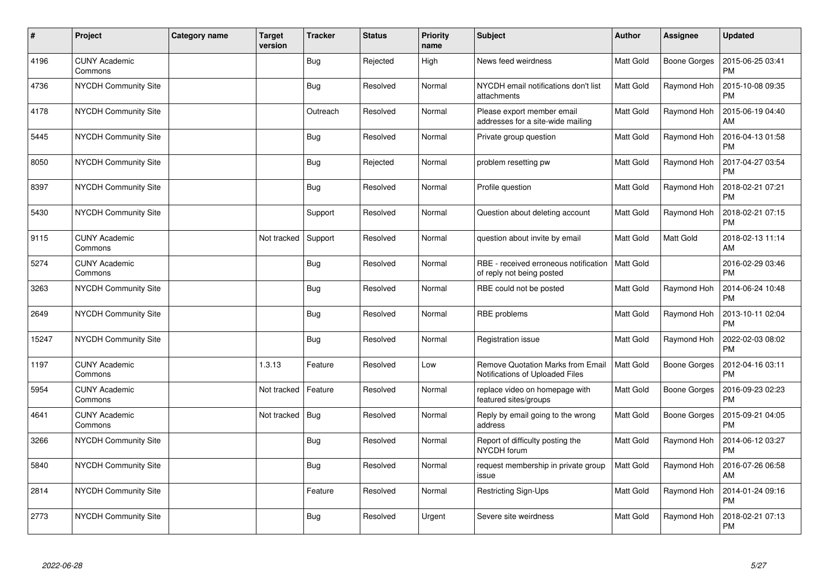| #     | Project                         | <b>Category name</b> | Target<br>version | <b>Tracker</b> | <b>Status</b> | <b>Priority</b><br>name | <b>Subject</b>                                                              | <b>Author</b>    | <b>Assignee</b>     | <b>Updated</b>                |
|-------|---------------------------------|----------------------|-------------------|----------------|---------------|-------------------------|-----------------------------------------------------------------------------|------------------|---------------------|-------------------------------|
| 4196  | <b>CUNY Academic</b><br>Commons |                      |                   | Bug            | Rejected      | High                    | News feed weirdness                                                         | <b>Matt Gold</b> | Boone Gorges        | 2015-06-25 03:41<br><b>PM</b> |
| 4736  | <b>NYCDH Community Site</b>     |                      |                   | <b>Bug</b>     | Resolved      | Normal                  | NYCDH email notifications don't list<br>attachments                         | <b>Matt Gold</b> | Raymond Hoh         | 2015-10-08 09:35<br><b>PM</b> |
| 4178  | <b>NYCDH Community Site</b>     |                      |                   | Outreach       | Resolved      | Normal                  | Please export member email<br>addresses for a site-wide mailing             | Matt Gold        | Raymond Hoh         | 2015-06-19 04:40<br>AM        |
| 5445  | <b>NYCDH Community Site</b>     |                      |                   | <b>Bug</b>     | Resolved      | Normal                  | Private group question                                                      | Matt Gold        | Raymond Hoh         | 2016-04-13 01:58<br><b>PM</b> |
| 8050  | NYCDH Community Site            |                      |                   | <b>Bug</b>     | Rejected      | Normal                  | problem resetting pw                                                        | <b>Matt Gold</b> | Raymond Hoh         | 2017-04-27 03:54<br><b>PM</b> |
| 8397  | NYCDH Community Site            |                      |                   | Bug            | Resolved      | Normal                  | Profile question                                                            | Matt Gold        | Raymond Hoh         | 2018-02-21 07:21<br><b>PM</b> |
| 5430  | NYCDH Community Site            |                      |                   | Support        | Resolved      | Normal                  | Question about deleting account                                             | <b>Matt Gold</b> | Raymond Hoh         | 2018-02-21 07:15<br><b>PM</b> |
| 9115  | <b>CUNY Academic</b><br>Commons |                      | Not tracked       | Support        | Resolved      | Normal                  | question about invite by email                                              | <b>Matt Gold</b> | Matt Gold           | 2018-02-13 11:14<br>AM        |
| 5274  | <b>CUNY Academic</b><br>Commons |                      |                   | <b>Bug</b>     | Resolved      | Normal                  | RBE - received erroneous notification<br>of reply not being posted          | Matt Gold        |                     | 2016-02-29 03:46<br><b>PM</b> |
| 3263  | <b>NYCDH Community Site</b>     |                      |                   | <b>Bug</b>     | Resolved      | Normal                  | RBE could not be posted                                                     | <b>Matt Gold</b> | Raymond Hoh         | 2014-06-24 10:48<br><b>PM</b> |
| 2649  | <b>NYCDH Community Site</b>     |                      |                   | <b>Bug</b>     | Resolved      | Normal                  | RBE problems                                                                | <b>Matt Gold</b> | Raymond Hoh         | 2013-10-11 02:04<br><b>PM</b> |
| 15247 | NYCDH Community Site            |                      |                   | <b>Bug</b>     | Resolved      | Normal                  | Registration issue                                                          | Matt Gold        | Raymond Hoh         | 2022-02-03 08:02<br><b>PM</b> |
| 1197  | <b>CUNY Academic</b><br>Commons |                      | 1.3.13            | Feature        | Resolved      | Low                     | <b>Remove Quotation Marks from Email</b><br>Notifications of Uploaded Files | Matt Gold        | Boone Gorges        | 2012-04-16 03:11<br><b>PM</b> |
| 5954  | <b>CUNY Academic</b><br>Commons |                      | Not tracked       | Feature        | Resolved      | Normal                  | replace video on homepage with<br>featured sites/groups                     | <b>Matt Gold</b> | Boone Gorges        | 2016-09-23 02:23<br><b>PM</b> |
| 4641  | <b>CUNY Academic</b><br>Commons |                      | Not tracked       | Bug            | Resolved      | Normal                  | Reply by email going to the wrong<br>address                                | Matt Gold        | <b>Boone Gorges</b> | 2015-09-21 04:05<br><b>PM</b> |
| 3266  | <b>NYCDH Community Site</b>     |                      |                   | Bug            | Resolved      | Normal                  | Report of difficulty posting the<br>NYCDH forum                             | Matt Gold        | Raymond Hoh         | 2014-06-12 03:27<br><b>PM</b> |
| 5840  | NYCDH Community Site            |                      |                   | Bug            | Resolved      | Normal                  | request membership in private group<br>issue                                | <b>Matt Gold</b> | Raymond Hoh         | 2016-07-26 06:58<br>AM        |
| 2814  | <b>NYCDH Community Site</b>     |                      |                   | Feature        | Resolved      | Normal                  | <b>Restricting Sign-Ups</b>                                                 | <b>Matt Gold</b> | Raymond Hoh         | 2014-01-24 09:16<br><b>PM</b> |
| 2773  | NYCDH Community Site            |                      |                   | Bug            | Resolved      | Urgent                  | Severe site weirdness                                                       | <b>Matt Gold</b> | Raymond Hoh         | 2018-02-21 07:13<br><b>PM</b> |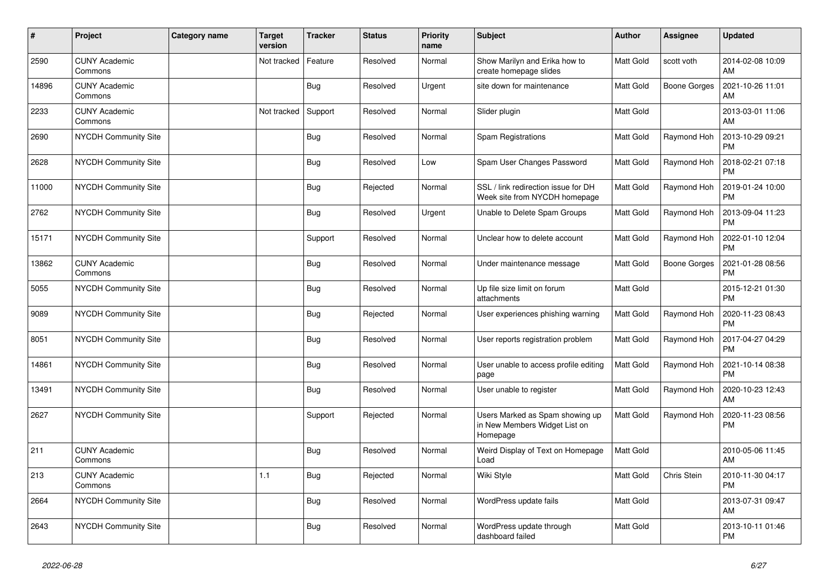| #     | Project                         | Category name | <b>Target</b><br>version | <b>Tracker</b> | <b>Status</b> | <b>Priority</b><br>name | <b>Subject</b>                                                               | <b>Author</b>    | Assignee     | <b>Updated</b>                |
|-------|---------------------------------|---------------|--------------------------|----------------|---------------|-------------------------|------------------------------------------------------------------------------|------------------|--------------|-------------------------------|
| 2590  | <b>CUNY Academic</b><br>Commons |               | Not tracked              | Feature        | Resolved      | Normal                  | Show Marilyn and Erika how to<br>create homepage slides                      | <b>Matt Gold</b> | scott voth   | 2014-02-08 10:09<br><b>AM</b> |
| 14896 | <b>CUNY Academic</b><br>Commons |               |                          | Bug            | Resolved      | Urgent                  | site down for maintenance                                                    | <b>Matt Gold</b> | Boone Gorges | 2021-10-26 11:01<br>AM        |
| 2233  | <b>CUNY Academic</b><br>Commons |               | Not tracked              | Support        | Resolved      | Normal                  | Slider plugin                                                                | Matt Gold        |              | 2013-03-01 11:06<br>AM        |
| 2690  | NYCDH Community Site            |               |                          | <b>Bug</b>     | Resolved      | Normal                  | Spam Registrations                                                           | Matt Gold        | Raymond Hoh  | 2013-10-29 09:21<br><b>PM</b> |
| 2628  | <b>NYCDH Community Site</b>     |               |                          | Bug            | Resolved      | Low                     | Spam User Changes Password                                                   | <b>Matt Gold</b> | Raymond Hoh  | 2018-02-21 07:18<br><b>PM</b> |
| 11000 | <b>NYCDH Community Site</b>     |               |                          | <b>Bug</b>     | Rejected      | Normal                  | SSL / link redirection issue for DH<br>Week site from NYCDH homepage         | <b>Matt Gold</b> | Raymond Hoh  | 2019-01-24 10:00<br><b>PM</b> |
| 2762  | NYCDH Community Site            |               |                          | <b>Bug</b>     | Resolved      | Urgent                  | Unable to Delete Spam Groups                                                 | <b>Matt Gold</b> | Raymond Hoh  | 2013-09-04 11:23<br><b>PM</b> |
| 15171 | NYCDH Community Site            |               |                          | Support        | Resolved      | Normal                  | Unclear how to delete account                                                | <b>Matt Gold</b> | Raymond Hoh  | 2022-01-10 12:04<br><b>PM</b> |
| 13862 | <b>CUNY Academic</b><br>Commons |               |                          | <b>Bug</b>     | Resolved      | Normal                  | Under maintenance message                                                    | Matt Gold        | Boone Gorges | 2021-01-28 08:56<br><b>PM</b> |
| 5055  | <b>NYCDH Community Site</b>     |               |                          | <b>Bug</b>     | Resolved      | Normal                  | Up file size limit on forum<br>attachments                                   | <b>Matt Gold</b> |              | 2015-12-21 01:30<br><b>PM</b> |
| 9089  | <b>NYCDH Community Site</b>     |               |                          | Bug            | Rejected      | Normal                  | User experiences phishing warning                                            | Matt Gold        | Raymond Hoh  | 2020-11-23 08:43<br><b>PM</b> |
| 8051  | <b>NYCDH Community Site</b>     |               |                          | <b>Bug</b>     | Resolved      | Normal                  | User reports registration problem                                            | Matt Gold        | Raymond Hoh  | 2017-04-27 04:29<br><b>PM</b> |
| 14861 | NYCDH Community Site            |               |                          | <b>Bug</b>     | Resolved      | Normal                  | User unable to access profile editing<br>page                                | Matt Gold        | Raymond Hoh  | 2021-10-14 08:38<br><b>PM</b> |
| 13491 | NYCDH Community Site            |               |                          | <b>Bug</b>     | Resolved      | Normal                  | User unable to register                                                      | Matt Gold        | Raymond Hoh  | 2020-10-23 12:43<br>AM        |
| 2627  | <b>NYCDH Community Site</b>     |               |                          | Support        | Rejected      | Normal                  | Users Marked as Spam showing up<br>in New Members Widget List on<br>Homepage | <b>Matt Gold</b> | Raymond Hoh  | 2020-11-23 08:56<br><b>PM</b> |
| 211   | <b>CUNY Academic</b><br>Commons |               |                          | <b>Bug</b>     | Resolved      | Normal                  | Weird Display of Text on Homepage<br>Load                                    | Matt Gold        |              | 2010-05-06 11:45<br>AM        |
| 213   | <b>CUNY Academic</b><br>Commons |               | 1.1                      | Bug            | Rejected      | Normal                  | Wiki Style                                                                   | <b>Matt Gold</b> | Chris Stein  | 2010-11-30 04:17<br><b>PM</b> |
| 2664  | NYCDH Community Site            |               |                          | Bug            | Resolved      | Normal                  | WordPress update fails                                                       | Matt Gold        |              | 2013-07-31 09:47<br>AM        |
| 2643  | <b>NYCDH Community Site</b>     |               |                          | Bug            | Resolved      | Normal                  | WordPress update through<br>dashboard failed                                 | <b>Matt Gold</b> |              | 2013-10-11 01:46<br><b>PM</b> |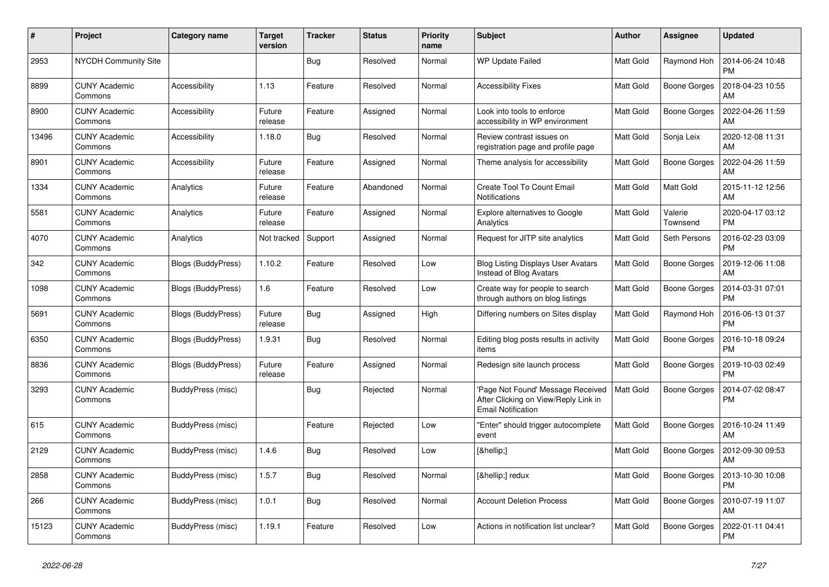| #     | Project                         | Category name      | Target<br>version | <b>Tracker</b> | <b>Status</b> | <b>Priority</b><br>name | <b>Subject</b>                                                                                         | <b>Author</b>    | Assignee            | <b>Updated</b>                |
|-------|---------------------------------|--------------------|-------------------|----------------|---------------|-------------------------|--------------------------------------------------------------------------------------------------------|------------------|---------------------|-------------------------------|
| 2953  | NYCDH Community Site            |                    |                   | Bug            | Resolved      | Normal                  | <b>WP Update Failed</b>                                                                                | <b>Matt Gold</b> | Raymond Hoh         | 2014-06-24 10:48<br><b>PM</b> |
| 8899  | <b>CUNY Academic</b><br>Commons | Accessibility      | 1.13              | Feature        | Resolved      | Normal                  | <b>Accessibility Fixes</b>                                                                             | <b>Matt Gold</b> | <b>Boone Gorges</b> | 2018-04-23 10:55<br>AM        |
| 8900  | <b>CUNY Academic</b><br>Commons | Accessibility      | Future<br>release | Feature        | Assigned      | Normal                  | Look into tools to enforce<br>accessibility in WP environment                                          | <b>Matt Gold</b> | Boone Gorges        | 2022-04-26 11:59<br>AM        |
| 13496 | <b>CUNY Academic</b><br>Commons | Accessibility      | 1.18.0            | Bug            | Resolved      | Normal                  | Review contrast issues on<br>registration page and profile page                                        | <b>Matt Gold</b> | Sonja Leix          | 2020-12-08 11:31<br>AM        |
| 8901  | <b>CUNY Academic</b><br>Commons | Accessibility      | Future<br>release | Feature        | Assigned      | Normal                  | Theme analysis for accessibility                                                                       | <b>Matt Gold</b> | <b>Boone Gorges</b> | 2022-04-26 11:59<br>AM        |
| 1334  | <b>CUNY Academic</b><br>Commons | Analytics          | Future<br>release | Feature        | Abandoned     | Normal                  | Create Tool To Count Email<br><b>Notifications</b>                                                     | <b>Matt Gold</b> | Matt Gold           | 2015-11-12 12:56<br>AM        |
| 5581  | <b>CUNY Academic</b><br>Commons | Analytics          | Future<br>release | Feature        | Assigned      | Normal                  | <b>Explore alternatives to Google</b><br>Analytics                                                     | <b>Matt Gold</b> | Valerie<br>Townsend | 2020-04-17 03:12<br><b>PM</b> |
| 4070  | <b>CUNY Academic</b><br>Commons | Analytics          | Not tracked       | Support        | Assigned      | Normal                  | Request for JITP site analytics                                                                        | <b>Matt Gold</b> | Seth Persons        | 2016-02-23 03:09<br><b>PM</b> |
| 342   | <b>CUNY Academic</b><br>Commons | Blogs (BuddyPress) | 1.10.2            | Feature        | Resolved      | Low                     | <b>Blog Listing Displays User Avatars</b><br>Instead of Blog Avatars                                   | <b>Matt Gold</b> | Boone Gorges        | 2019-12-06 11:08<br>AM        |
| 1098  | <b>CUNY Academic</b><br>Commons | Blogs (BuddyPress) | 1.6               | Feature        | Resolved      | Low                     | Create way for people to search<br>through authors on blog listings                                    | Matt Gold        | Boone Gorges        | 2014-03-31 07:01<br><b>PM</b> |
| 5691  | <b>CUNY Academic</b><br>Commons | Blogs (BuddyPress) | Future<br>release | Bug            | Assigned      | High                    | Differing numbers on Sites display                                                                     | <b>Matt Gold</b> | Raymond Hoh         | 2016-06-13 01:37<br><b>PM</b> |
| 6350  | <b>CUNY Academic</b><br>Commons | Blogs (BuddyPress) | 1.9.31            | Bug            | Resolved      | Normal                  | Editing blog posts results in activity<br>items                                                        | <b>Matt Gold</b> | Boone Gorges        | 2016-10-18 09:24<br><b>PM</b> |
| 8836  | <b>CUNY Academic</b><br>Commons | Blogs (BuddyPress) | Future<br>release | Feature        | Assigned      | Normal                  | Redesign site launch process                                                                           | <b>Matt Gold</b> | Boone Gorges        | 2019-10-03 02:49<br><b>PM</b> |
| 3293  | <b>CUNY Academic</b><br>Commons | BuddyPress (misc)  |                   | <b>Bug</b>     | Rejected      | Normal                  | 'Page Not Found' Message Received<br>After Clicking on View/Reply Link in<br><b>Email Notification</b> | <b>Matt Gold</b> | Boone Gorges        | 2014-07-02 08:47<br><b>PM</b> |
| 615   | <b>CUNY Academic</b><br>Commons | BuddyPress (misc)  |                   | Feature        | Rejected      | Low                     | "Enter" should trigger autocomplete<br>event                                                           | <b>Matt Gold</b> | Boone Gorges        | 2016-10-24 11:49<br>AM        |
| 2129  | <b>CUNY Academic</b><br>Commons | BuddyPress (misc)  | 1.4.6             | Bug            | Resolved      | Low                     | […]                                                                                                    | Matt Gold        | Boone Gorges        | 2012-09-30 09:53<br>AM        |
| 2858  | <b>CUNY Academic</b><br>Commons | BuddyPress (misc)  | 1.5.7             | <b>Bug</b>     | Resolved      | Normal                  | […] redux                                                                                              | <b>Matt Gold</b> | Boone Gorges        | 2013-10-30 10:08<br><b>PM</b> |
| 266   | <b>CUNY Academic</b><br>Commons | BuddyPress (misc)  | 1.0.1             | Bug            | Resolved      | Normal                  | <b>Account Deletion Process</b>                                                                        | Matt Gold        | Boone Gorges        | 2010-07-19 11:07<br>AM        |
| 15123 | <b>CUNY Academic</b><br>Commons | BuddyPress (misc)  | 1.19.1            | Feature        | Resolved      | Low                     | Actions in notification list unclear?                                                                  | <b>Matt Gold</b> | <b>Boone Gorges</b> | 2022-01-11 04:41<br><b>PM</b> |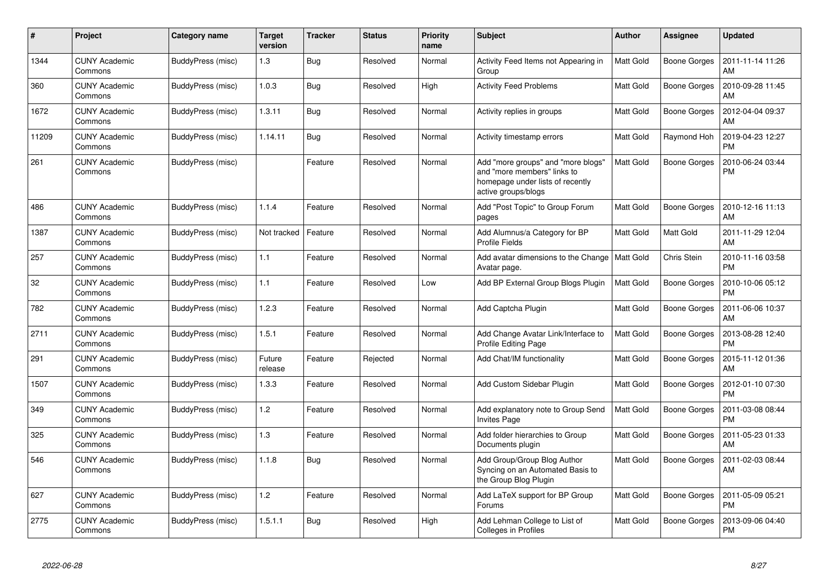| #     | Project                         | Category name     | <b>Target</b><br>version | <b>Tracker</b> | <b>Status</b> | <b>Priority</b><br>name | <b>Subject</b>                                                                                                               | <b>Author</b>    | Assignee            | <b>Updated</b>                |
|-------|---------------------------------|-------------------|--------------------------|----------------|---------------|-------------------------|------------------------------------------------------------------------------------------------------------------------------|------------------|---------------------|-------------------------------|
| 1344  | <b>CUNY Academic</b><br>Commons | BuddyPress (misc) | 1.3                      | <b>Bug</b>     | Resolved      | Normal                  | Activity Feed Items not Appearing in<br>Group                                                                                | <b>Matt Gold</b> | <b>Boone Gorges</b> | 2011-11-14 11:26<br>AM        |
| 360   | <b>CUNY Academic</b><br>Commons | BuddyPress (misc) | 1.0.3                    | <b>Bug</b>     | Resolved      | High                    | <b>Activity Feed Problems</b>                                                                                                | Matt Gold        | <b>Boone Gorges</b> | 2010-09-28 11:45<br>AM        |
| 1672  | <b>CUNY Academic</b><br>Commons | BuddyPress (misc) | 1.3.11                   | <b>Bug</b>     | Resolved      | Normal                  | Activity replies in groups                                                                                                   | Matt Gold        | Boone Gorges        | 2012-04-04 09:37<br>AM        |
| 11209 | <b>CUNY Academic</b><br>Commons | BuddyPress (misc) | 1.14.11                  | <b>Bug</b>     | Resolved      | Normal                  | Activity timestamp errors                                                                                                    | Matt Gold        | Raymond Hoh         | 2019-04-23 12:27<br><b>PM</b> |
| 261   | <b>CUNY Academic</b><br>Commons | BuddyPress (misc) |                          | Feature        | Resolved      | Normal                  | Add "more groups" and "more blogs"<br>and "more members" links to<br>homepage under lists of recently<br>active groups/blogs | Matt Gold        | <b>Boone Gorges</b> | 2010-06-24 03:44<br><b>PM</b> |
| 486   | <b>CUNY Academic</b><br>Commons | BuddyPress (misc) | 1.1.4                    | Feature        | Resolved      | Normal                  | Add "Post Topic" to Group Forum<br>pages                                                                                     | Matt Gold        | <b>Boone Gorges</b> | 2010-12-16 11:13<br>AM        |
| 1387  | <b>CUNY Academic</b><br>Commons | BuddyPress (misc) | Not tracked              | Feature        | Resolved      | Normal                  | Add Alumnus/a Category for BP<br><b>Profile Fields</b>                                                                       | Matt Gold        | Matt Gold           | 2011-11-29 12:04<br>AM        |
| 257   | <b>CUNY Academic</b><br>Commons | BuddyPress (misc) | 1.1                      | Feature        | Resolved      | Normal                  | Add avatar dimensions to the Change<br>Avatar page.                                                                          | <b>Matt Gold</b> | Chris Stein         | 2010-11-16 03:58<br><b>PM</b> |
| 32    | <b>CUNY Academic</b><br>Commons | BuddyPress (misc) | 1.1                      | Feature        | Resolved      | Low                     | Add BP External Group Blogs Plugin                                                                                           | Matt Gold        | <b>Boone Gorges</b> | 2010-10-06 05:12<br><b>PM</b> |
| 782   | <b>CUNY Academic</b><br>Commons | BuddyPress (misc) | 1.2.3                    | Feature        | Resolved      | Normal                  | Add Captcha Plugin                                                                                                           | <b>Matt Gold</b> | Boone Gorges        | 2011-06-06 10:37<br>AM        |
| 2711  | <b>CUNY Academic</b><br>Commons | BuddyPress (misc) | 1.5.1                    | Feature        | Resolved      | Normal                  | Add Change Avatar Link/Interface to<br>Profile Editing Page                                                                  | Matt Gold        | <b>Boone Gorges</b> | 2013-08-28 12:40<br><b>PM</b> |
| 291   | <b>CUNY Academic</b><br>Commons | BuddyPress (misc) | Future<br>release        | Feature        | Rejected      | Normal                  | Add Chat/IM functionality                                                                                                    | <b>Matt Gold</b> | <b>Boone Gorges</b> | 2015-11-12 01:36<br>AM        |
| 1507  | <b>CUNY Academic</b><br>Commons | BuddyPress (misc) | 1.3.3                    | Feature        | Resolved      | Normal                  | Add Custom Sidebar Plugin                                                                                                    | <b>Matt Gold</b> | <b>Boone Gorges</b> | 2012-01-10 07:30<br><b>PM</b> |
| 349   | <b>CUNY Academic</b><br>Commons | BuddyPress (misc) | 1.2                      | Feature        | Resolved      | Normal                  | Add explanatory note to Group Send<br><b>Invites Page</b>                                                                    | Matt Gold        | Boone Gorges        | 2011-03-08 08:44<br><b>PM</b> |
| 325   | <b>CUNY Academic</b><br>Commons | BuddyPress (misc) | 1.3                      | Feature        | Resolved      | Normal                  | Add folder hierarchies to Group<br>Documents plugin                                                                          | Matt Gold        | <b>Boone Gorges</b> | 2011-05-23 01:33<br>AM        |
| 546   | <b>CUNY Academic</b><br>Commons | BuddyPress (misc) | 1.1.8                    | Bug            | Resolved      | Normal                  | Add Group/Group Blog Author<br>Syncing on an Automated Basis to<br>the Group Blog Plugin                                     | Matt Gold        | Boone Gorges        | 2011-02-03 08:44<br>AM        |
| 627   | <b>CUNY Academic</b><br>Commons | BuddyPress (misc) | 1.2                      | Feature        | Resolved      | Normal                  | Add LaTeX support for BP Group<br>Forums                                                                                     | Matt Gold        | <b>Boone Gorges</b> | 2011-05-09 05:21<br><b>PM</b> |
| 2775  | <b>CUNY Academic</b><br>Commons | BuddyPress (misc) | 1.5.1.1                  | Bug            | Resolved      | High                    | Add Lehman College to List of<br>Colleges in Profiles                                                                        | Matt Gold        | Boone Gorges        | 2013-09-06 04:40<br><b>PM</b> |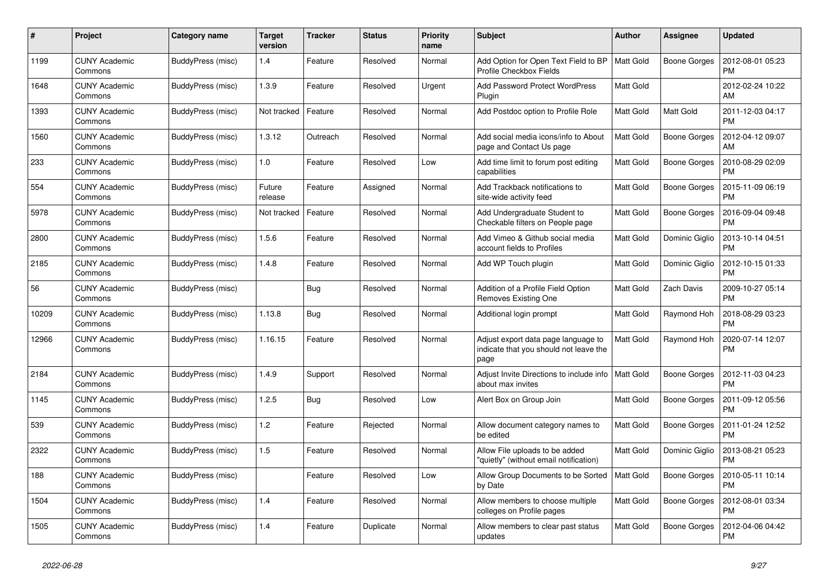| #     | Project                         | Category name     | <b>Target</b><br>version | <b>Tracker</b> | <b>Status</b> | <b>Priority</b><br>name | <b>Subject</b>                                                                        | <b>Author</b>    | Assignee            | <b>Updated</b>                |
|-------|---------------------------------|-------------------|--------------------------|----------------|---------------|-------------------------|---------------------------------------------------------------------------------------|------------------|---------------------|-------------------------------|
| 1199  | <b>CUNY Academic</b><br>Commons | BuddyPress (misc) | 1.4                      | Feature        | Resolved      | Normal                  | Add Option for Open Text Field to BP<br>Profile Checkbox Fields                       | <b>Matt Gold</b> | Boone Gorges        | 2012-08-01 05:23<br><b>PM</b> |
| 1648  | <b>CUNY Academic</b><br>Commons | BuddyPress (misc) | 1.3.9                    | Feature        | Resolved      | Urgent                  | <b>Add Password Protect WordPress</b><br>Plugin                                       | <b>Matt Gold</b> |                     | 2012-02-24 10:22<br>AM        |
| 1393  | <b>CUNY Academic</b><br>Commons | BuddyPress (misc) | Not tracked              | Feature        | Resolved      | Normal                  | Add Postdoc option to Profile Role                                                    | <b>Matt Gold</b> | Matt Gold           | 2011-12-03 04:17<br><b>PM</b> |
| 1560  | <b>CUNY Academic</b><br>Commons | BuddyPress (misc) | 1.3.12                   | Outreach       | Resolved      | Normal                  | Add social media icons/info to About<br>page and Contact Us page                      | <b>Matt Gold</b> | <b>Boone Gorges</b> | 2012-04-12 09:07<br>AM        |
| 233   | <b>CUNY Academic</b><br>Commons | BuddyPress (misc) | 1.0                      | Feature        | Resolved      | Low                     | Add time limit to forum post editing<br>capabilities                                  | Matt Gold        | <b>Boone Gorges</b> | 2010-08-29 02:09<br><b>PM</b> |
| 554   | <b>CUNY Academic</b><br>Commons | BuddyPress (misc) | Future<br>release        | Feature        | Assigned      | Normal                  | Add Trackback notifications to<br>site-wide activity feed                             | <b>Matt Gold</b> | <b>Boone Gorges</b> | 2015-11-09 06:19<br><b>PM</b> |
| 5978  | <b>CUNY Academic</b><br>Commons | BuddyPress (misc) | Not tracked              | Feature        | Resolved      | Normal                  | Add Undergraduate Student to<br>Checkable filters on People page                      | <b>Matt Gold</b> | Boone Gorges        | 2016-09-04 09:48<br><b>PM</b> |
| 2800  | <b>CUNY Academic</b><br>Commons | BuddyPress (misc) | 1.5.6                    | Feature        | Resolved      | Normal                  | Add Vimeo & Github social media<br>account fields to Profiles                         | <b>Matt Gold</b> | Dominic Giglio      | 2013-10-14 04:51<br><b>PM</b> |
| 2185  | <b>CUNY Academic</b><br>Commons | BuddyPress (misc) | 1.4.8                    | Feature        | Resolved      | Normal                  | Add WP Touch plugin                                                                   | <b>Matt Gold</b> | Dominic Giglio      | 2012-10-15 01:33<br><b>PM</b> |
| 56    | <b>CUNY Academic</b><br>Commons | BuddyPress (misc) |                          | Bug            | Resolved      | Normal                  | Addition of a Profile Field Option<br>Removes Existing One                            | <b>Matt Gold</b> | Zach Davis          | 2009-10-27 05:14<br><b>PM</b> |
| 10209 | <b>CUNY Academic</b><br>Commons | BuddyPress (misc) | 1.13.8                   | Bug            | Resolved      | Normal                  | Additional login prompt                                                               | Matt Gold        | Raymond Hoh         | 2018-08-29 03:23<br><b>PM</b> |
| 12966 | <b>CUNY Academic</b><br>Commons | BuddyPress (misc) | 1.16.15                  | Feature        | Resolved      | Normal                  | Adjust export data page language to<br>indicate that you should not leave the<br>page | <b>Matt Gold</b> | Raymond Hoh         | 2020-07-14 12:07<br>PM        |
| 2184  | <b>CUNY Academic</b><br>Commons | BuddyPress (misc) | 1.4.9                    | Support        | Resolved      | Normal                  | Adjust Invite Directions to include info<br>about max invites                         | <b>Matt Gold</b> | Boone Gorges        | 2012-11-03 04:23<br><b>PM</b> |
| 1145  | <b>CUNY Academic</b><br>Commons | BuddyPress (misc) | 1.2.5                    | Bug            | Resolved      | Low                     | Alert Box on Group Join                                                               | <b>Matt Gold</b> | Boone Gorges        | 2011-09-12 05:56<br><b>PM</b> |
| 539   | <b>CUNY Academic</b><br>Commons | BuddyPress (misc) | 1.2                      | Feature        | Rejected      | Normal                  | Allow document category names to<br>be edited                                         | <b>Matt Gold</b> | <b>Boone Gorges</b> | 2011-01-24 12:52<br>PM        |
| 2322  | <b>CUNY Academic</b><br>Commons | BuddyPress (misc) | 1.5                      | Feature        | Resolved      | Normal                  | Allow File uploads to be added<br>"quietly" (without email notification)              | Matt Gold        | Dominic Giglio      | 2013-08-21 05:23<br><b>PM</b> |
| 188   | <b>CUNY Academic</b><br>Commons | BuddyPress (misc) |                          | Feature        | Resolved      | Low                     | Allow Group Documents to be Sorted<br>by Date                                         | <b>Matt Gold</b> | Boone Gorges        | 2010-05-11 10:14<br><b>PM</b> |
| 1504  | <b>CUNY Academic</b><br>Commons | BuddyPress (misc) | 1.4                      | Feature        | Resolved      | Normal                  | Allow members to choose multiple<br>colleges on Profile pages                         | <b>Matt Gold</b> | <b>Boone Gorges</b> | 2012-08-01 03:34<br><b>PM</b> |
| 1505  | <b>CUNY Academic</b><br>Commons | BuddyPress (misc) | 1.4                      | Feature        | Duplicate     | Normal                  | Allow members to clear past status<br>updates                                         | <b>Matt Gold</b> | <b>Boone Gorges</b> | 2012-04-06 04:42<br>PM        |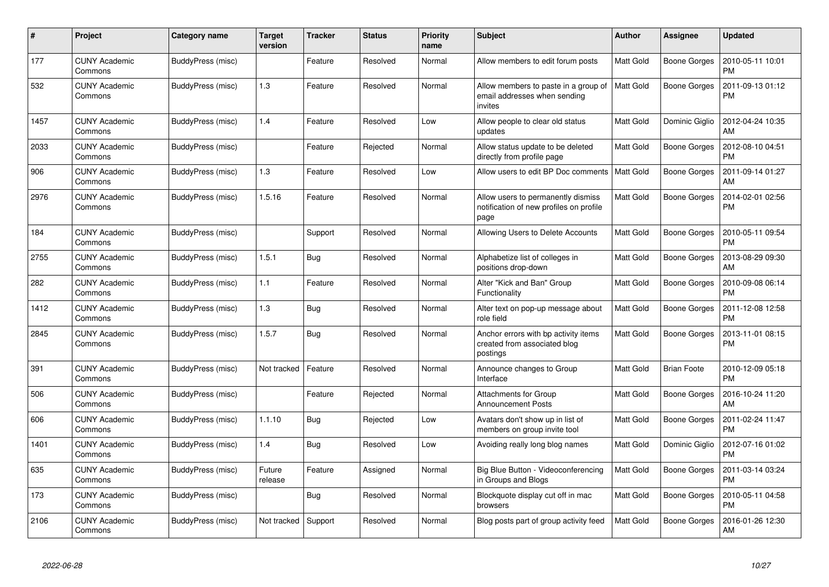| #    | Project                         | Category name     | <b>Target</b><br>version | <b>Tracker</b> | <b>Status</b> | <b>Priority</b><br>name | <b>Subject</b>                                                                        | <b>Author</b>    | Assignee            | <b>Updated</b>                |
|------|---------------------------------|-------------------|--------------------------|----------------|---------------|-------------------------|---------------------------------------------------------------------------------------|------------------|---------------------|-------------------------------|
| 177  | <b>CUNY Academic</b><br>Commons | BuddyPress (misc) |                          | Feature        | Resolved      | Normal                  | Allow members to edit forum posts                                                     | Matt Gold        | Boone Gorges        | 2010-05-11 10:01<br><b>PM</b> |
| 532  | <b>CUNY Academic</b><br>Commons | BuddyPress (misc) | 1.3                      | Feature        | Resolved      | Normal                  | Allow members to paste in a group of<br>email addresses when sending<br>invites       | <b>Matt Gold</b> | <b>Boone Gorges</b> | 2011-09-13 01:12<br><b>PM</b> |
| 1457 | <b>CUNY Academic</b><br>Commons | BuddyPress (misc) | 1.4                      | Feature        | Resolved      | Low                     | Allow people to clear old status<br>updates                                           | <b>Matt Gold</b> | Dominic Giglio      | 2012-04-24 10:35<br>AM        |
| 2033 | <b>CUNY Academic</b><br>Commons | BuddyPress (misc) |                          | Feature        | Rejected      | Normal                  | Allow status update to be deleted<br>directly from profile page                       | <b>Matt Gold</b> | <b>Boone Gorges</b> | 2012-08-10 04:51<br><b>PM</b> |
| 906  | <b>CUNY Academic</b><br>Commons | BuddyPress (misc) | 1.3                      | Feature        | Resolved      | Low                     | Allow users to edit BP Doc comments                                                   | <b>Matt Gold</b> | Boone Gorges        | 2011-09-14 01:27<br>AM        |
| 2976 | <b>CUNY Academic</b><br>Commons | BuddyPress (misc) | 1.5.16                   | Feature        | Resolved      | Normal                  | Allow users to permanently dismiss<br>notification of new profiles on profile<br>page | <b>Matt Gold</b> | Boone Gorges        | 2014-02-01 02:56<br><b>PM</b> |
| 184  | <b>CUNY Academic</b><br>Commons | BuddyPress (misc) |                          | Support        | Resolved      | Normal                  | Allowing Users to Delete Accounts                                                     | <b>Matt Gold</b> | Boone Gorges        | 2010-05-11 09:54<br><b>PM</b> |
| 2755 | <b>CUNY Academic</b><br>Commons | BuddyPress (misc) | 1.5.1                    | Bug            | Resolved      | Normal                  | Alphabetize list of colleges in<br>positions drop-down                                | <b>Matt Gold</b> | Boone Gorges        | 2013-08-29 09:30<br>AM        |
| 282  | <b>CUNY Academic</b><br>Commons | BuddyPress (misc) | 1.1                      | Feature        | Resolved      | Normal                  | Alter "Kick and Ban" Group<br>Functionality                                           | <b>Matt Gold</b> | <b>Boone Gorges</b> | 2010-09-08 06:14<br><b>PM</b> |
| 1412 | <b>CUNY Academic</b><br>Commons | BuddyPress (misc) | 1.3                      | Bug            | Resolved      | Normal                  | Alter text on pop-up message about<br>role field                                      | <b>Matt Gold</b> | Boone Gorges        | 2011-12-08 12:58<br><b>PM</b> |
| 2845 | <b>CUNY Academic</b><br>Commons | BuddyPress (misc) | 1.5.7                    | <b>Bug</b>     | Resolved      | Normal                  | Anchor errors with bp activity items<br>created from associated blog<br>postings      | <b>Matt Gold</b> | Boone Gorges        | 2013-11-01 08:15<br><b>PM</b> |
| 391  | <b>CUNY Academic</b><br>Commons | BuddyPress (misc) | Not tracked              | Feature        | Resolved      | Normal                  | Announce changes to Group<br>Interface                                                | <b>Matt Gold</b> | <b>Brian Foote</b>  | 2010-12-09 05:18<br><b>PM</b> |
| 506  | <b>CUNY Academic</b><br>Commons | BuddyPress (misc) |                          | Feature        | Rejected      | Normal                  | Attachments for Group<br><b>Announcement Posts</b>                                    | <b>Matt Gold</b> | <b>Boone Gorges</b> | 2016-10-24 11:20<br>AM        |
| 606  | <b>CUNY Academic</b><br>Commons | BuddyPress (misc) | 1.1.10                   | <b>Bug</b>     | Rejected      | Low                     | Avatars don't show up in list of<br>members on group invite tool                      | Matt Gold        | Boone Gorges        | 2011-02-24 11:47<br><b>PM</b> |
| 1401 | <b>CUNY Academic</b><br>Commons | BuddyPress (misc) | 1.4                      | <b>Bug</b>     | Resolved      | Low                     | Avoiding really long blog names                                                       | <b>Matt Gold</b> | Dominic Giglio      | 2012-07-16 01:02<br><b>PM</b> |
| 635  | <b>CUNY Academic</b><br>Commons | BuddyPress (misc) | Future<br>release        | Feature        | Assigned      | Normal                  | Big Blue Button - Videoconferencing<br>in Groups and Blogs                            | Matt Gold        | Boone Gorges        | 2011-03-14 03:24<br><b>PM</b> |
| 173  | <b>CUNY Academic</b><br>Commons | BuddyPress (misc) |                          | <b>Bug</b>     | Resolved      | Normal                  | Blockquote display cut off in mac<br>browsers                                         | <b>Matt Gold</b> | Boone Gorges        | 2010-05-11 04:58<br><b>PM</b> |
| 2106 | <b>CUNY Academic</b><br>Commons | BuddyPress (misc) | Not tracked              | Support        | Resolved      | Normal                  | Blog posts part of group activity feed                                                | <b>Matt Gold</b> | Boone Gorges        | 2016-01-26 12:30<br>AM        |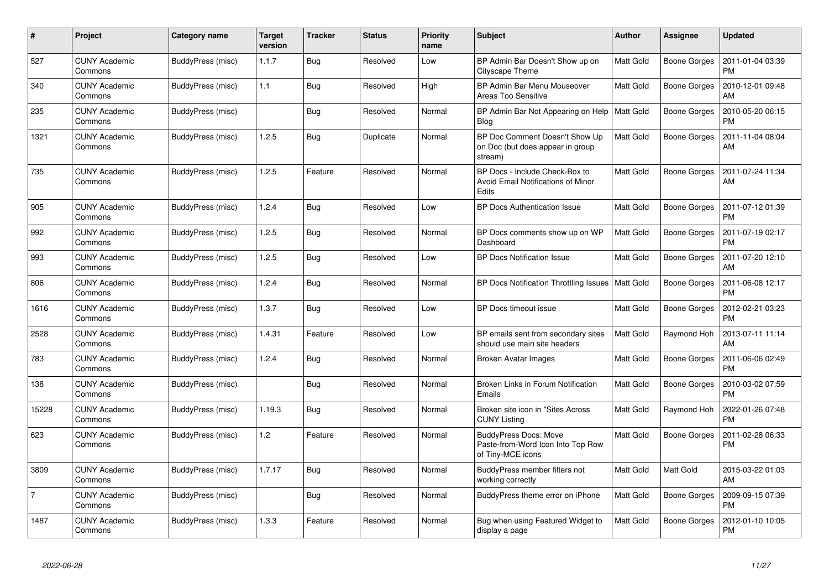| #              | Project                         | Category name     | <b>Target</b><br>version | <b>Tracker</b> | <b>Status</b> | <b>Priority</b><br>name | <b>Subject</b>                                                                         | <b>Author</b>    | <b>Assignee</b>     | <b>Updated</b>                |
|----------------|---------------------------------|-------------------|--------------------------|----------------|---------------|-------------------------|----------------------------------------------------------------------------------------|------------------|---------------------|-------------------------------|
| 527            | <b>CUNY Academic</b><br>Commons | BuddyPress (misc) | 1.1.7                    | Bug            | Resolved      | Low                     | BP Admin Bar Doesn't Show up on<br>Cityscape Theme                                     | Matt Gold        | <b>Boone Gorges</b> | 2011-01-04 03:39<br><b>PM</b> |
| 340            | <b>CUNY Academic</b><br>Commons | BuddyPress (misc) | 1.1                      | <b>Bug</b>     | Resolved      | High                    | BP Admin Bar Menu Mouseover<br><b>Areas Too Sensitive</b>                              | Matt Gold        | <b>Boone Gorges</b> | 2010-12-01 09:48<br>AM        |
| 235            | <b>CUNY Academic</b><br>Commons | BuddyPress (misc) |                          | <b>Bug</b>     | Resolved      | Normal                  | BP Admin Bar Not Appearing on Help<br>Blog                                             | <b>Matt Gold</b> | <b>Boone Gorges</b> | 2010-05-20 06:15<br><b>PM</b> |
| 1321           | CUNY Academic<br>Commons        | BuddyPress (misc) | 1.2.5                    | <b>Bug</b>     | Duplicate     | Normal                  | BP Doc Comment Doesn't Show Up<br>on Doc (but does appear in group<br>stream)          | Matt Gold        | <b>Boone Gorges</b> | 2011-11-04 08:04<br>AM        |
| 735            | <b>CUNY Academic</b><br>Commons | BuddyPress (misc) | 1.2.5                    | Feature        | Resolved      | Normal                  | BP Docs - Include Check-Box to<br>Avoid Email Notifications of Minor<br>Edits          | <b>Matt Gold</b> | <b>Boone Gorges</b> | 2011-07-24 11:34<br>AM        |
| 905            | <b>CUNY Academic</b><br>Commons | BuddyPress (misc) | 1.2.4                    | <b>Bug</b>     | Resolved      | Low                     | BP Docs Authentication Issue                                                           | Matt Gold        | <b>Boone Gorges</b> | 2011-07-12 01:39<br><b>PM</b> |
| 992            | CUNY Academic<br>Commons        | BuddyPress (misc) | 1.2.5                    | Bug            | Resolved      | Normal                  | BP Docs comments show up on WP<br>Dashboard                                            | Matt Gold        | <b>Boone Gorges</b> | 2011-07-19 02:17<br><b>PM</b> |
| 993            | <b>CUNY Academic</b><br>Commons | BuddyPress (misc) | 1.2.5                    | <b>Bug</b>     | Resolved      | Low                     | <b>BP Docs Notification Issue</b>                                                      | Matt Gold        | <b>Boone Gorges</b> | 2011-07-20 12:10<br>AM        |
| 806            | <b>CUNY Academic</b><br>Commons | BuddyPress (misc) | 1.2.4                    | <b>Bug</b>     | Resolved      | Normal                  | BP Docs Notification Throttling Issues                                                 | Matt Gold        | <b>Boone Gorges</b> | 2011-06-08 12:17<br><b>PM</b> |
| 1616           | <b>CUNY Academic</b><br>Commons | BuddyPress (misc) | 1.3.7                    | <b>Bug</b>     | Resolved      | Low                     | BP Docs timeout issue                                                                  | <b>Matt Gold</b> | Boone Gorges        | 2012-02-21 03:23<br><b>PM</b> |
| 2528           | <b>CUNY Academic</b><br>Commons | BuddyPress (misc) | 1.4.31                   | Feature        | Resolved      | Low                     | BP emails sent from secondary sites<br>should use main site headers                    | Matt Gold        | Raymond Hoh         | 2013-07-11 11:14<br>AM        |
| 783            | <b>CUNY Academic</b><br>Commons | BuddyPress (misc) | 1.2.4                    | Bug            | Resolved      | Normal                  | <b>Broken Avatar Images</b>                                                            | <b>Matt Gold</b> | <b>Boone Gorges</b> | 2011-06-06 02:49<br><b>PM</b> |
| 138            | <b>CUNY Academic</b><br>Commons | BuddyPress (misc) |                          | <b>Bug</b>     | Resolved      | Normal                  | Broken Links in Forum Notification<br>Emails                                           | Matt Gold        | <b>Boone Gorges</b> | 2010-03-02 07:59<br><b>PM</b> |
| 15228          | <b>CUNY Academic</b><br>Commons | BuddyPress (misc) | 1.19.3                   | Bug            | Resolved      | Normal                  | Broken site icon in "Sites Across<br><b>CUNY Listing</b>                               | <b>Matt Gold</b> | Raymond Hoh         | 2022-01-26 07:48<br><b>PM</b> |
| 623            | <b>CUNY Academic</b><br>Commons | BuddyPress (misc) | 1.2                      | Feature        | Resolved      | Normal                  | <b>BuddyPress Docs: Move</b><br>Paste-from-Word Icon Into Top Row<br>of Tiny-MCE icons | <b>Matt Gold</b> | <b>Boone Gorges</b> | 2011-02-28 06:33<br>PM        |
| 3809           | <b>CUNY Academic</b><br>Commons | BuddyPress (misc) | 1.7.17                   | <b>Bug</b>     | Resolved      | Normal                  | BuddyPress member filters not<br>working correctly                                     | Matt Gold        | Matt Gold           | 2015-03-22 01:03<br>l AM      |
| $\overline{7}$ | <b>CUNY Academic</b><br>Commons | BuddyPress (misc) |                          | <b>Bug</b>     | Resolved      | Normal                  | BuddyPress theme error on iPhone                                                       | Matt Gold        | Boone Gorges        | 2009-09-15 07:39<br><b>PM</b> |
| 1487           | <b>CUNY Academic</b><br>Commons | BuddyPress (misc) | 1.3.3                    | Feature        | Resolved      | Normal                  | Bug when using Featured Widget to<br>display a page                                    | Matt Gold        | <b>Boone Gorges</b> | 2012-01-10 10:05<br><b>PM</b> |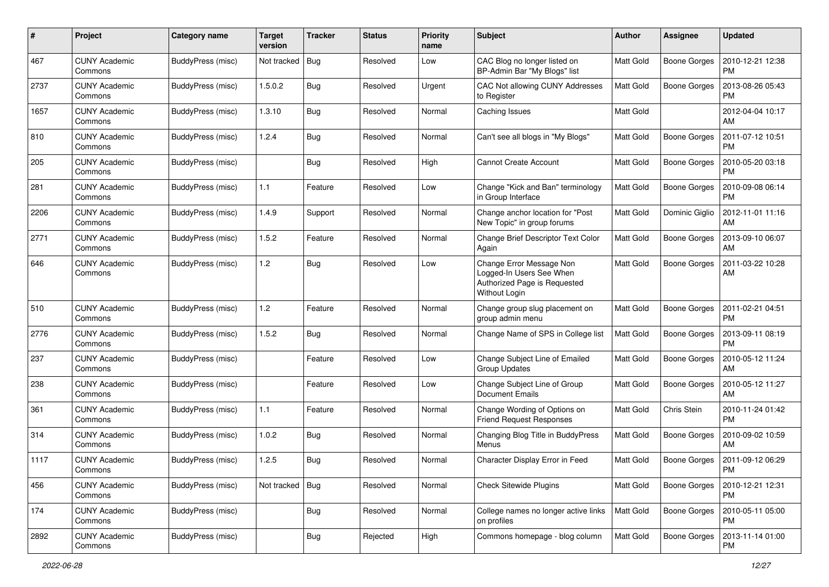| #    | Project                         | Category name     | <b>Target</b><br>version | Tracker    | <b>Status</b> | <b>Priority</b><br>name | <b>Subject</b>                                                                                        | Author           | <b>Assignee</b>     | <b>Updated</b>                |
|------|---------------------------------|-------------------|--------------------------|------------|---------------|-------------------------|-------------------------------------------------------------------------------------------------------|------------------|---------------------|-------------------------------|
| 467  | <b>CUNY Academic</b><br>Commons | BuddyPress (misc) | Not tracked              | <b>Bug</b> | Resolved      | Low                     | CAC Blog no longer listed on<br>BP-Admin Bar "My Blogs" list                                          | Matt Gold        | <b>Boone Gorges</b> | 2010-12-21 12:38<br><b>PM</b> |
| 2737 | <b>CUNY Academic</b><br>Commons | BuddyPress (misc) | 1.5.0.2                  | <b>Bug</b> | Resolved      | Urgent                  | CAC Not allowing CUNY Addresses<br>to Register                                                        | Matt Gold        | <b>Boone Gorges</b> | 2013-08-26 05:43<br><b>PM</b> |
| 1657 | CUNY Academic<br>Commons        | BuddyPress (misc) | 1.3.10                   | Bug        | Resolved      | Normal                  | Caching Issues                                                                                        | Matt Gold        |                     | 2012-04-04 10:17<br>AM        |
| 810  | <b>CUNY Academic</b><br>Commons | BuddyPress (misc) | 1.2.4                    | Bug        | Resolved      | Normal                  | Can't see all blogs in "My Blogs"                                                                     | <b>Matt Gold</b> | <b>Boone Gorges</b> | 2011-07-12 10:51<br><b>PM</b> |
| 205  | <b>CUNY Academic</b><br>Commons | BuddyPress (misc) |                          | <b>Bug</b> | Resolved      | High                    | <b>Cannot Create Account</b>                                                                          | <b>Matt Gold</b> | <b>Boone Gorges</b> | 2010-05-20 03:18<br><b>PM</b> |
| 281  | <b>CUNY Academic</b><br>Commons | BuddyPress (misc) | 1.1                      | Feature    | Resolved      | Low                     | Change "Kick and Ban" terminology<br>in Group Interface                                               | Matt Gold        | Boone Gorges        | 2010-09-08 06:14<br><b>PM</b> |
| 2206 | <b>CUNY Academic</b><br>Commons | BuddyPress (misc) | 1.4.9                    | Support    | Resolved      | Normal                  | Change anchor location for "Post<br>New Topic" in group forums                                        | Matt Gold        | Dominic Giglio      | 2012-11-01 11:16<br>AM        |
| 2771 | <b>CUNY Academic</b><br>Commons | BuddyPress (misc) | 1.5.2                    | Feature    | Resolved      | Normal                  | Change Brief Descriptor Text Color<br>Again                                                           | Matt Gold        | <b>Boone Gorges</b> | 2013-09-10 06:07<br>AM        |
| 646  | <b>CUNY Academic</b><br>Commons | BuddyPress (misc) | 1.2                      | Bug        | Resolved      | Low                     | Change Error Message Non<br>Logged-In Users See When<br>Authorized Page is Requested<br>Without Login | Matt Gold        | <b>Boone Gorges</b> | 2011-03-22 10:28<br>AM        |
| 510  | <b>CUNY Academic</b><br>Commons | BuddyPress (misc) | 1.2                      | Feature    | Resolved      | Normal                  | Change group slug placement on<br>group admin menu                                                    | <b>Matt Gold</b> | <b>Boone Gorges</b> | 2011-02-21 04:51<br>PM        |
| 2776 | <b>CUNY Academic</b><br>Commons | BuddyPress (misc) | 1.5.2                    | Bug        | Resolved      | Normal                  | Change Name of SPS in College list                                                                    | <b>Matt Gold</b> | Boone Gorges        | 2013-09-11 08:19<br><b>PM</b> |
| 237  | <b>CUNY Academic</b><br>Commons | BuddyPress (misc) |                          | Feature    | Resolved      | Low                     | Change Subject Line of Emailed<br>Group Updates                                                       | Matt Gold        | Boone Gorges        | 2010-05-12 11:24<br>AM        |
| 238  | <b>CUNY Academic</b><br>Commons | BuddyPress (misc) |                          | Feature    | Resolved      | Low                     | Change Subject Line of Group<br><b>Document Emails</b>                                                | Matt Gold        | <b>Boone Gorges</b> | 2010-05-12 11:27<br>AM        |
| 361  | <b>CUNY Academic</b><br>Commons | BuddyPress (misc) | 1.1                      | Feature    | Resolved      | Normal                  | Change Wording of Options on<br><b>Friend Request Responses</b>                                       | Matt Gold        | Chris Stein         | 2010-11-24 01:42<br><b>PM</b> |
| 314  | <b>CUNY Academic</b><br>Commons | BuddyPress (misc) | 1.0.2                    | <b>Bug</b> | Resolved      | Normal                  | Changing Blog Title in BuddyPress<br>Menus                                                            | Matt Gold        | Boone Gorges        | 2010-09-02 10:59<br>AM        |
| 1117 | <b>CUNY Academic</b><br>Commons | BuddyPress (misc) | 1.2.5                    | Bug        | Resolved      | Normal                  | Character Display Error in Feed                                                                       | Matt Gold        | Boone Gorges        | 2011-09-12 06:29<br>PM        |
| 456  | <b>CUNY Academic</b><br>Commons | BuddyPress (misc) | Not tracked   Bug        |            | Resolved      | Normal                  | <b>Check Sitewide Plugins</b>                                                                         | Matt Gold        | <b>Boone Gorges</b> | 2010-12-21 12:31<br><b>PM</b> |
| 174  | <b>CUNY Academic</b><br>Commons | BuddyPress (misc) |                          | <b>Bug</b> | Resolved      | Normal                  | College names no longer active links<br>on profiles                                                   | Matt Gold        | Boone Gorges        | 2010-05-11 05:00<br><b>PM</b> |
| 2892 | <b>CUNY Academic</b><br>Commons | BuddyPress (misc) |                          | <b>Bug</b> | Rejected      | High                    | Commons homepage - blog column                                                                        | Matt Gold        | Boone Gorges        | 2013-11-14 01:00<br>PM        |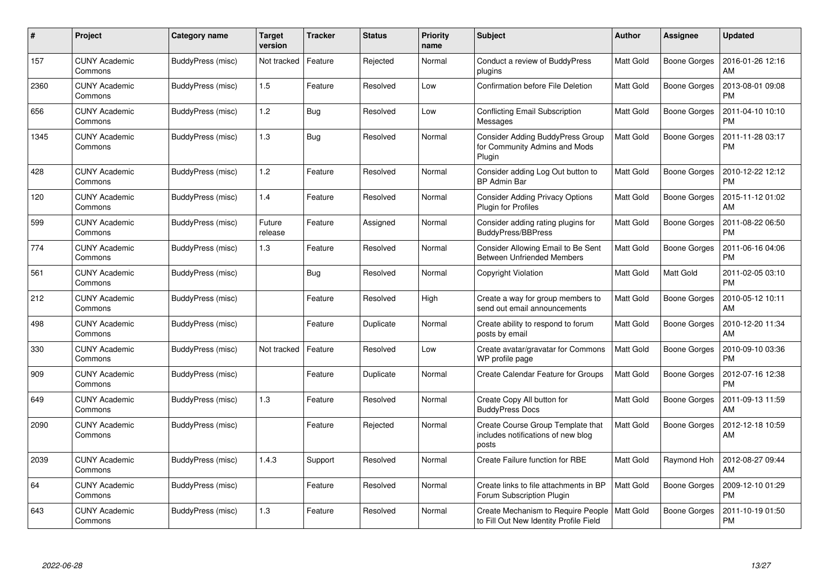| $\#$ | Project                         | <b>Category name</b> | <b>Target</b><br>version | <b>Tracker</b> | <b>Status</b> | <b>Priority</b><br>name | <b>Subject</b>                                                                     | Author           | Assignee            | <b>Updated</b>                |
|------|---------------------------------|----------------------|--------------------------|----------------|---------------|-------------------------|------------------------------------------------------------------------------------|------------------|---------------------|-------------------------------|
| 157  | <b>CUNY Academic</b><br>Commons | BuddyPress (misc)    | Not tracked              | Feature        | Rejected      | Normal                  | Conduct a review of BuddyPress<br>plugins                                          | <b>Matt Gold</b> | <b>Boone Gorges</b> | 2016-01-26 12:16<br>AM        |
| 2360 | <b>CUNY Academic</b><br>Commons | BuddyPress (misc)    | 1.5                      | Feature        | Resolved      | Low                     | Confirmation before File Deletion                                                  | <b>Matt Gold</b> | <b>Boone Gorges</b> | 2013-08-01 09:08<br><b>PM</b> |
| 656  | <b>CUNY Academic</b><br>Commons | BuddyPress (misc)    | 1.2                      | <b>Bug</b>     | Resolved      | Low                     | Conflicting Email Subscription<br>Messages                                         | <b>Matt Gold</b> | <b>Boone Gorges</b> | 2011-04-10 10:10<br><b>PM</b> |
| 1345 | <b>CUNY Academic</b><br>Commons | BuddyPress (misc)    | $1.3$                    | <b>Bug</b>     | Resolved      | Normal                  | <b>Consider Adding BuddyPress Group</b><br>for Community Admins and Mods<br>Plugin | <b>Matt Gold</b> | Boone Gorges        | 2011-11-28 03:17<br><b>PM</b> |
| 428  | <b>CUNY Academic</b><br>Commons | BuddyPress (misc)    | 1.2                      | Feature        | Resolved      | Normal                  | Consider adding Log Out button to<br><b>BP Admin Bar</b>                           | <b>Matt Gold</b> | Boone Gorges        | 2010-12-22 12:12<br><b>PM</b> |
| 120  | <b>CUNY Academic</b><br>Commons | BuddyPress (misc)    | 1.4                      | Feature        | Resolved      | Normal                  | <b>Consider Adding Privacy Options</b><br><b>Plugin for Profiles</b>               | Matt Gold        | <b>Boone Gorges</b> | 2015-11-12 01:02<br>AM        |
| 599  | <b>CUNY Academic</b><br>Commons | BuddyPress (misc)    | Future<br>release        | Feature        | Assigned      | Normal                  | Consider adding rating plugins for<br>BuddyPress/BBPress                           | Matt Gold        | Boone Gorges        | 2011-08-22 06:50<br><b>PM</b> |
| 774  | <b>CUNY Academic</b><br>Commons | BuddyPress (misc)    | $1.3$                    | Feature        | Resolved      | Normal                  | Consider Allowing Email to Be Sent<br><b>Between Unfriended Members</b>            | <b>Matt Gold</b> | <b>Boone Gorges</b> | 2011-06-16 04:06<br><b>PM</b> |
| 561  | <b>CUNY Academic</b><br>Commons | BuddyPress (misc)    |                          | Bug            | Resolved      | Normal                  | Copyright Violation                                                                | <b>Matt Gold</b> | Matt Gold           | 2011-02-05 03:10<br><b>PM</b> |
| 212  | <b>CUNY Academic</b><br>Commons | BuddyPress (misc)    |                          | Feature        | Resolved      | High                    | Create a way for group members to<br>send out email announcements                  | Matt Gold        | <b>Boone Gorges</b> | 2010-05-12 10:11<br>AM        |
| 498  | <b>CUNY Academic</b><br>Commons | BuddyPress (misc)    |                          | Feature        | Duplicate     | Normal                  | Create ability to respond to forum<br>posts by email                               | <b>Matt Gold</b> | Boone Gorges        | 2010-12-20 11:34<br>AM        |
| 330  | <b>CUNY Academic</b><br>Commons | BuddyPress (misc)    | Not tracked              | Feature        | Resolved      | Low                     | Create avatar/gravatar for Commons<br>WP profile page                              | Matt Gold        | Boone Gorges        | 2010-09-10 03:36<br><b>PM</b> |
| 909  | <b>CUNY Academic</b><br>Commons | BuddyPress (misc)    |                          | Feature        | Duplicate     | Normal                  | Create Calendar Feature for Groups                                                 | <b>Matt Gold</b> | Boone Gorges        | 2012-07-16 12:38<br><b>PM</b> |
| 649  | <b>CUNY Academic</b><br>Commons | BuddyPress (misc)    | 1.3                      | Feature        | Resolved      | Normal                  | Create Copy All button for<br><b>BuddyPress Docs</b>                               | Matt Gold        | Boone Gorges        | 2011-09-13 11:59<br>AM        |
| 2090 | <b>CUNY Academic</b><br>Commons | BuddyPress (misc)    |                          | Feature        | Rejected      | Normal                  | Create Course Group Template that<br>includes notifications of new blog<br>posts   | <b>Matt Gold</b> | Boone Gorges        | 2012-12-18 10:59<br>AM        |
| 2039 | <b>CUNY Academic</b><br>Commons | BuddyPress (misc)    | 1.4.3                    | Support        | Resolved      | Normal                  | Create Failure function for RBE                                                    | <b>Matt Gold</b> | Raymond Hoh         | 2012-08-27 09:44<br>AM        |
| 64   | <b>CUNY Academic</b><br>Commons | BuddyPress (misc)    |                          | Feature        | Resolved      | Normal                  | Create links to file attachments in BP<br>Forum Subscription Plugin                | <b>Matt Gold</b> | Boone Gorges        | 2009-12-10 01:29<br><b>PM</b> |
| 643  | CUNY Academic<br>Commons        | BuddyPress (misc)    | 1.3                      | Feature        | Resolved      | Normal                  | Create Mechanism to Require People<br>to Fill Out New Identity Profile Field       | <b>Matt Gold</b> | Boone Gorges        | 2011-10-19 01:50<br><b>PM</b> |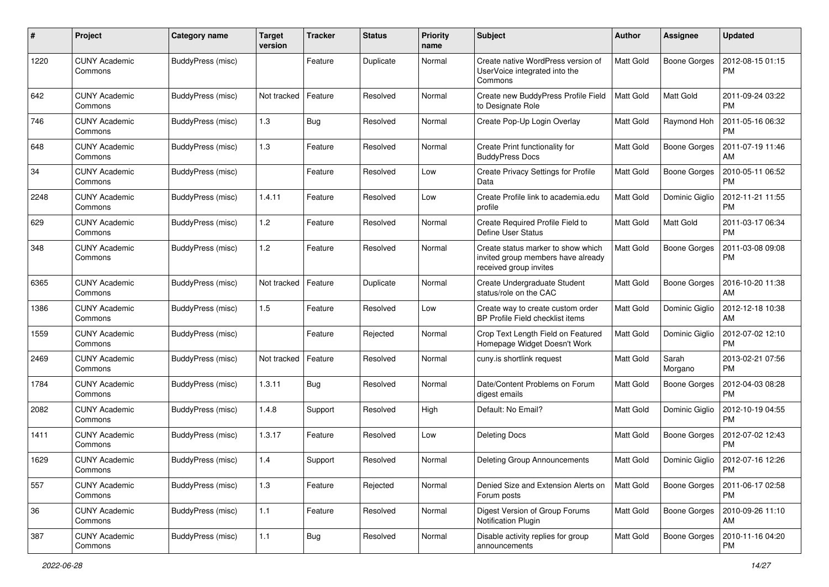| #    | Project                         | Category name     | <b>Target</b><br>version | <b>Tracker</b> | <b>Status</b> | <b>Priority</b><br>name | Subject                                                                                            | <b>Author</b>    | Assignee            | <b>Updated</b>                |
|------|---------------------------------|-------------------|--------------------------|----------------|---------------|-------------------------|----------------------------------------------------------------------------------------------------|------------------|---------------------|-------------------------------|
| 1220 | <b>CUNY Academic</b><br>Commons | BuddyPress (misc) |                          | Feature        | Duplicate     | Normal                  | Create native WordPress version of<br>UserVoice integrated into the<br>Commons                     | Matt Gold        | <b>Boone Gorges</b> | 2012-08-15 01:15<br><b>PM</b> |
| 642  | <b>CUNY Academic</b><br>Commons | BuddyPress (misc) | Not tracked              | Feature        | Resolved      | Normal                  | Create new BuddyPress Profile Field<br>to Designate Role                                           | <b>Matt Gold</b> | Matt Gold           | 2011-09-24 03:22<br><b>PM</b> |
| 746  | <b>CUNY Academic</b><br>Commons | BuddyPress (misc) | 1.3                      | Bug            | Resolved      | Normal                  | Create Pop-Up Login Overlay                                                                        | Matt Gold        | Raymond Hoh         | 2011-05-16 06:32<br><b>PM</b> |
| 648  | <b>CUNY Academic</b><br>Commons | BuddyPress (misc) | 1.3                      | Feature        | Resolved      | Normal                  | Create Print functionality for<br><b>BuddyPress Docs</b>                                           | Matt Gold        | <b>Boone Gorges</b> | 2011-07-19 11:46<br>AM        |
| 34   | <b>CUNY Academic</b><br>Commons | BuddyPress (misc) |                          | Feature        | Resolved      | Low                     | Create Privacy Settings for Profile<br>Data                                                        | <b>Matt Gold</b> | <b>Boone Gorges</b> | 2010-05-11 06:52<br><b>PM</b> |
| 2248 | <b>CUNY Academic</b><br>Commons | BuddyPress (misc) | 1.4.11                   | Feature        | Resolved      | Low                     | Create Profile link to academia.edu<br>profile                                                     | Matt Gold        | Dominic Giglio      | 2012-11-21 11:55<br><b>PM</b> |
| 629  | <b>CUNY Academic</b><br>Commons | BuddyPress (misc) | 1.2                      | Feature        | Resolved      | Normal                  | Create Required Profile Field to<br>Define User Status                                             | Matt Gold        | <b>Matt Gold</b>    | 2011-03-17 06:34<br><b>PM</b> |
| 348  | <b>CUNY Academic</b><br>Commons | BuddyPress (misc) | 1.2                      | Feature        | Resolved      | Normal                  | Create status marker to show which<br>invited group members have already<br>received group invites | <b>Matt Gold</b> | <b>Boone Gorges</b> | 2011-03-08 09:08<br><b>PM</b> |
| 6365 | <b>CUNY Academic</b><br>Commons | BuddyPress (misc) | Not tracked              | Feature        | Duplicate     | Normal                  | Create Undergraduate Student<br>status/role on the CAC                                             | Matt Gold        | <b>Boone Gorges</b> | 2016-10-20 11:38<br>AM        |
| 1386 | <b>CUNY Academic</b><br>Commons | BuddyPress (misc) | 1.5                      | Feature        | Resolved      | Low                     | Create way to create custom order<br>BP Profile Field checklist items                              | <b>Matt Gold</b> | Dominic Giglio      | 2012-12-18 10:38<br>AM        |
| 1559 | <b>CUNY Academic</b><br>Commons | BuddyPress (misc) |                          | Feature        | Rejected      | Normal                  | Crop Text Length Field on Featured<br>Homepage Widget Doesn't Work                                 | <b>Matt Gold</b> | Dominic Giglio      | 2012-07-02 12:10<br><b>PM</b> |
| 2469 | <b>CUNY Academic</b><br>Commons | BuddyPress (misc) | Not tracked              | Feature        | Resolved      | Normal                  | cuny.is shortlink request                                                                          | Matt Gold        | Sarah<br>Morgano    | 2013-02-21 07:56<br><b>PM</b> |
| 1784 | <b>CUNY Academic</b><br>Commons | BuddyPress (misc) | 1.3.11                   | <b>Bug</b>     | Resolved      | Normal                  | Date/Content Problems on Forum<br>digest emails                                                    | <b>Matt Gold</b> | <b>Boone Gorges</b> | 2012-04-03 08:28<br><b>PM</b> |
| 2082 | <b>CUNY Academic</b><br>Commons | BuddyPress (misc) | 1.4.8                    | Support        | Resolved      | High                    | Default: No Email?                                                                                 | Matt Gold        | Dominic Giglio      | 2012-10-19 04:55<br><b>PM</b> |
| 1411 | <b>CUNY Academic</b><br>Commons | BuddyPress (misc) | 1.3.17                   | Feature        | Resolved      | Low                     | <b>Deleting Docs</b>                                                                               | Matt Gold        | <b>Boone Gorges</b> | 2012-07-02 12:43<br><b>PM</b> |
| 1629 | <b>CUNY Academic</b><br>Commons | BuddyPress (misc) | 1.4                      | Support        | Resolved      | Normal                  | Deleting Group Announcements                                                                       | Matt Gold        | Dominic Giglio      | 2012-07-16 12:26<br>PM        |
| 557  | <b>CUNY Academic</b><br>Commons | BuddyPress (misc) | $1.3$                    | Feature        | Rejected      | Normal                  | Denied Size and Extension Alerts on<br>Forum posts                                                 | Matt Gold        | <b>Boone Gorges</b> | 2011-06-17 02:58<br><b>PM</b> |
| 36   | <b>CUNY Academic</b><br>Commons | BuddyPress (misc) | $1.1$                    | Feature        | Resolved      | Normal                  | Digest Version of Group Forums<br>Notification Plugin                                              | Matt Gold        | <b>Boone Gorges</b> | 2010-09-26 11:10<br>AM        |
| 387  | <b>CUNY Academic</b><br>Commons | BuddyPress (misc) | $1.1$                    | <b>Bug</b>     | Resolved      | Normal                  | Disable activity replies for group<br>announcements                                                | Matt Gold        | <b>Boone Gorges</b> | 2010-11-16 04:20<br><b>PM</b> |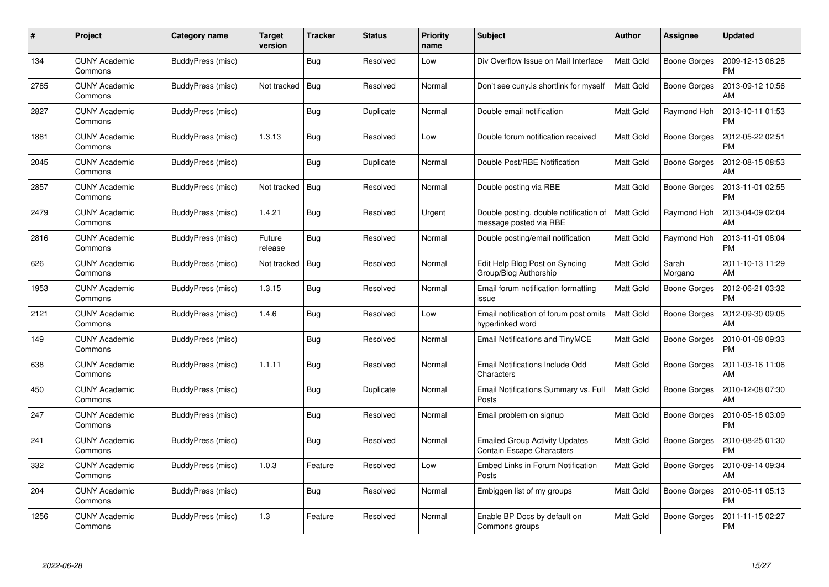| #    | Project                         | Category name     | <b>Target</b><br>version | <b>Tracker</b> | <b>Status</b> | <b>Priority</b><br>name | <b>Subject</b>                                                            | <b>Author</b>    | <b>Assignee</b>     | <b>Updated</b>                |
|------|---------------------------------|-------------------|--------------------------|----------------|---------------|-------------------------|---------------------------------------------------------------------------|------------------|---------------------|-------------------------------|
| 134  | <b>CUNY Academic</b><br>Commons | BuddyPress (misc) |                          | Bug            | Resolved      | Low                     | Div Overflow Issue on Mail Interface                                      | <b>Matt Gold</b> | Boone Gorges        | 2009-12-13 06:28<br><b>PM</b> |
| 2785 | <b>CUNY Academic</b><br>Commons | BuddyPress (misc) | Not tracked              | Bug            | Resolved      | Normal                  | Don't see cuny is shortlink for myself                                    | <b>Matt Gold</b> | <b>Boone Gorges</b> | 2013-09-12 10:56<br>AM        |
| 2827 | <b>CUNY Academic</b><br>Commons | BuddyPress (misc) |                          | Bug            | Duplicate     | Normal                  | Double email notification                                                 | Matt Gold        | Raymond Hoh         | 2013-10-11 01:53<br><b>PM</b> |
| 1881 | <b>CUNY Academic</b><br>Commons | BuddyPress (misc) | 1.3.13                   | Bug            | Resolved      | Low                     | Double forum notification received                                        | <b>Matt Gold</b> | Boone Gorges        | 2012-05-22 02:51<br><b>PM</b> |
| 2045 | <b>CUNY Academic</b><br>Commons | BuddyPress (misc) |                          | <b>Bug</b>     | Duplicate     | Normal                  | Double Post/RBE Notification                                              | <b>Matt Gold</b> | Boone Gorges        | 2012-08-15 08:53<br>АM        |
| 2857 | <b>CUNY Academic</b><br>Commons | BuddyPress (misc) | Not tracked              | Bug            | Resolved      | Normal                  | Double posting via RBE                                                    | <b>Matt Gold</b> | <b>Boone Gorges</b> | 2013-11-01 02:55<br>PM        |
| 2479 | <b>CUNY Academic</b><br>Commons | BuddyPress (misc) | 1.4.21                   | Bug            | Resolved      | Urgent                  | Double posting, double notification of<br>message posted via RBE          | Matt Gold        | Raymond Hoh         | 2013-04-09 02:04<br>AM        |
| 2816 | <b>CUNY Academic</b><br>Commons | BuddyPress (misc) | Future<br>release        | <b>Bug</b>     | Resolved      | Normal                  | Double posting/email notification                                         | Matt Gold        | Raymond Hoh         | 2013-11-01 08:04<br><b>PM</b> |
| 626  | <b>CUNY Academic</b><br>Commons | BuddyPress (misc) | Not tracked              | Bug            | Resolved      | Normal                  | Edit Help Blog Post on Syncing<br>Group/Blog Authorship                   | <b>Matt Gold</b> | Sarah<br>Morgano    | 2011-10-13 11:29<br>AM        |
| 1953 | <b>CUNY Academic</b><br>Commons | BuddyPress (misc) | 1.3.15                   | Bug            | Resolved      | Normal                  | Email forum notification formatting<br>issue                              | <b>Matt Gold</b> | <b>Boone Gorges</b> | 2012-06-21 03:32<br><b>PM</b> |
| 2121 | <b>CUNY Academic</b><br>Commons | BuddyPress (misc) | 1.4.6                    | <b>Bug</b>     | Resolved      | Low                     | Email notification of forum post omits<br>hyperlinked word                | <b>Matt Gold</b> | Boone Gorges        | 2012-09-30 09:05<br>АM        |
| 149  | <b>CUNY Academic</b><br>Commons | BuddyPress (misc) |                          | Bug            | Resolved      | Normal                  | Email Notifications and TinyMCE                                           | <b>Matt Gold</b> | Boone Gorges        | 2010-01-08 09:33<br><b>PM</b> |
| 638  | <b>CUNY Academic</b><br>Commons | BuddyPress (misc) | 1.1.11                   | <b>Bug</b>     | Resolved      | Normal                  | Email Notifications Include Odd<br>Characters                             | Matt Gold        | Boone Gorges        | 2011-03-16 11:06<br>АM        |
| 450  | <b>CUNY Academic</b><br>Commons | BuddyPress (misc) |                          | Bug            | Duplicate     | Normal                  | Email Notifications Summary vs. Full<br>Posts                             | <b>Matt Gold</b> | Boone Gorges        | 2010-12-08 07:30<br>AM        |
| 247  | CUNY Academic<br>Commons        | BuddyPress (misc) |                          | <b>Bug</b>     | Resolved      | Normal                  | Email problem on signup                                                   | Matt Gold        | Boone Gorges        | 2010-05-18 03:09<br><b>PM</b> |
| 241  | <b>CUNY Academic</b><br>Commons | BuddyPress (misc) |                          | <b>Bug</b>     | Resolved      | Normal                  | <b>Emailed Group Activity Updates</b><br><b>Contain Escape Characters</b> | <b>Matt Gold</b> | Boone Gorges        | 2010-08-25 01:30<br><b>PM</b> |
| 332  | <b>CUNY Academic</b><br>Commons | BuddyPress (misc) | 1.0.3                    | Feature        | Resolved      | Low                     | <b>Embed Links in Forum Notification</b><br>Posts                         | <b>Matt Gold</b> | Boone Gorges        | 2010-09-14 09:34<br>AM        |
| 204  | <b>CUNY Academic</b><br>Commons | BuddyPress (misc) |                          | <b>Bug</b>     | Resolved      | Normal                  | Embiggen list of my groups                                                | Matt Gold        | <b>Boone Gorges</b> | 2010-05-11 05:13<br><b>PM</b> |
| 1256 | CUNY Academic<br>Commons        | BuddyPress (misc) | 1.3                      | Feature        | Resolved      | Normal                  | Enable BP Docs by default on<br>Commons groups                            | <b>Matt Gold</b> | Boone Gorges        | 2011-11-15 02:27<br>PM        |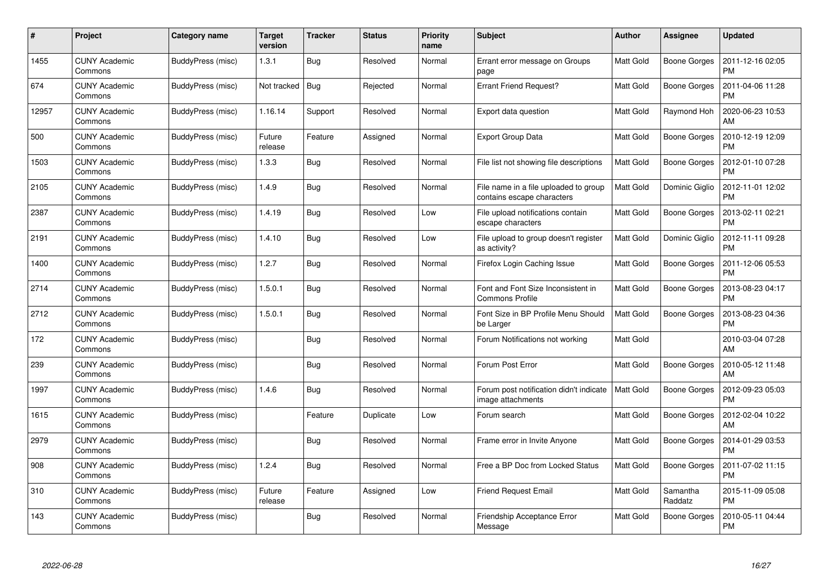| #     | Project                         | Category name     | <b>Target</b><br>version | <b>Tracker</b> | <b>Status</b> | <b>Priority</b><br>name | <b>Subject</b>                                                      | Author           | <b>Assignee</b>     | <b>Updated</b>                |
|-------|---------------------------------|-------------------|--------------------------|----------------|---------------|-------------------------|---------------------------------------------------------------------|------------------|---------------------|-------------------------------|
| 1455  | <b>CUNY Academic</b><br>Commons | BuddyPress (misc) | 1.3.1                    | <b>Bug</b>     | Resolved      | Normal                  | Errant error message on Groups<br>page                              | <b>Matt Gold</b> | <b>Boone Gorges</b> | 2011-12-16 02:05<br><b>PM</b> |
| 674   | <b>CUNY Academic</b><br>Commons | BuddyPress (misc) | Not tracked              | <b>Bug</b>     | Rejected      | Normal                  | <b>Errant Friend Request?</b>                                       | Matt Gold        | Boone Gorges        | 2011-04-06 11:28<br><b>PM</b> |
| 12957 | <b>CUNY Academic</b><br>Commons | BuddyPress (misc) | 1.16.14                  | Support        | Resolved      | Normal                  | Export data question                                                | Matt Gold        | Raymond Hoh         | 2020-06-23 10:53<br>AM        |
| 500   | <b>CUNY Academic</b><br>Commons | BuddyPress (misc) | Future<br>release        | Feature        | Assigned      | Normal                  | <b>Export Group Data</b>                                            | <b>Matt Gold</b> | Boone Gorges        | 2010-12-19 12:09<br><b>PM</b> |
| 1503  | <b>CUNY Academic</b><br>Commons | BuddyPress (misc) | 1.3.3                    | Bug            | Resolved      | Normal                  | File list not showing file descriptions                             | <b>Matt Gold</b> | Boone Gorges        | 2012-01-10 07:28<br><b>PM</b> |
| 2105  | <b>CUNY Academic</b><br>Commons | BuddyPress (misc) | 1.4.9                    | Bug            | Resolved      | Normal                  | File name in a file uploaded to group<br>contains escape characters | <b>Matt Gold</b> | Dominic Giglio      | 2012-11-01 12:02<br><b>PM</b> |
| 2387  | <b>CUNY Academic</b><br>Commons | BuddyPress (misc) | 1.4.19                   | Bug            | Resolved      | Low                     | File upload notifications contain<br>escape characters              | Matt Gold        | Boone Gorges        | 2013-02-11 02:21<br><b>PM</b> |
| 2191  | <b>CUNY Academic</b><br>Commons | BuddyPress (misc) | 1.4.10                   | Bug            | Resolved      | Low                     | File upload to group doesn't register<br>as activity?               | Matt Gold        | Dominic Giglio      | 2012-11-11 09:28<br><b>PM</b> |
| 1400  | <b>CUNY Academic</b><br>Commons | BuddyPress (misc) | 1.2.7                    | <b>Bug</b>     | Resolved      | Normal                  | Firefox Login Caching Issue                                         | <b>Matt Gold</b> | Boone Gorges        | 2011-12-06 05:53<br><b>PM</b> |
| 2714  | <b>CUNY Academic</b><br>Commons | BuddyPress (misc) | 1.5.0.1                  | <b>Bug</b>     | Resolved      | Normal                  | Font and Font Size Inconsistent in<br><b>Commons Profile</b>        | <b>Matt Gold</b> | <b>Boone Gorges</b> | 2013-08-23 04:17<br>PM        |
| 2712  | <b>CUNY Academic</b><br>Commons | BuddyPress (misc) | 1.5.0.1                  | Bug            | Resolved      | Normal                  | Font Size in BP Profile Menu Should<br>be Larger                    | <b>Matt Gold</b> | <b>Boone Gorges</b> | 2013-08-23 04:36<br><b>PM</b> |
| 172   | <b>CUNY Academic</b><br>Commons | BuddyPress (misc) |                          | <b>Bug</b>     | Resolved      | Normal                  | Forum Notifications not working                                     | <b>Matt Gold</b> |                     | 2010-03-04 07:28<br>AM        |
| 239   | <b>CUNY Academic</b><br>Commons | BuddyPress (misc) |                          | <b>Bug</b>     | Resolved      | Normal                  | Forum Post Error                                                    | <b>Matt Gold</b> | <b>Boone Gorges</b> | 2010-05-12 11:48<br>АM        |
| 1997  | <b>CUNY Academic</b><br>Commons | BuddyPress (misc) | 1.4.6                    | Bug            | Resolved      | Normal                  | Forum post notification didn't indicate<br>image attachments        | <b>Matt Gold</b> | <b>Boone Gorges</b> | 2012-09-23 05:03<br><b>PM</b> |
| 1615  | <b>CUNY Academic</b><br>Commons | BuddyPress (misc) |                          | Feature        | Duplicate     | Low                     | Forum search                                                        | <b>Matt Gold</b> | Boone Gorges        | 2012-02-04 10:22<br>AM        |
| 2979  | <b>CUNY Academic</b><br>Commons | BuddyPress (misc) |                          | <b>Bug</b>     | Resolved      | Normal                  | Frame error in Invite Anyone                                        | <b>Matt Gold</b> | Boone Gorges        | 2014-01-29 03:53<br><b>PM</b> |
| 908   | <b>CUNY Academic</b><br>Commons | BuddyPress (misc) | 1.2.4                    | <b>Bug</b>     | Resolved      | Normal                  | Free a BP Doc from Locked Status                                    | <b>Matt Gold</b> | Boone Gorges        | 2011-07-02 11:15<br><b>PM</b> |
| 310   | <b>CUNY Academic</b><br>Commons | BuddyPress (misc) | Future<br>release        | Feature        | Assigned      | Low                     | <b>Friend Request Email</b>                                         | Matt Gold        | Samantha<br>Raddatz | 2015-11-09 05:08<br><b>PM</b> |
| 143   | CUNY Academic<br>Commons        | BuddyPress (misc) |                          | <b>Bug</b>     | Resolved      | Normal                  | <b>Friendship Acceptance Error</b><br>Message                       | <b>Matt Gold</b> | Boone Gorges        | 2010-05-11 04:44<br>PM        |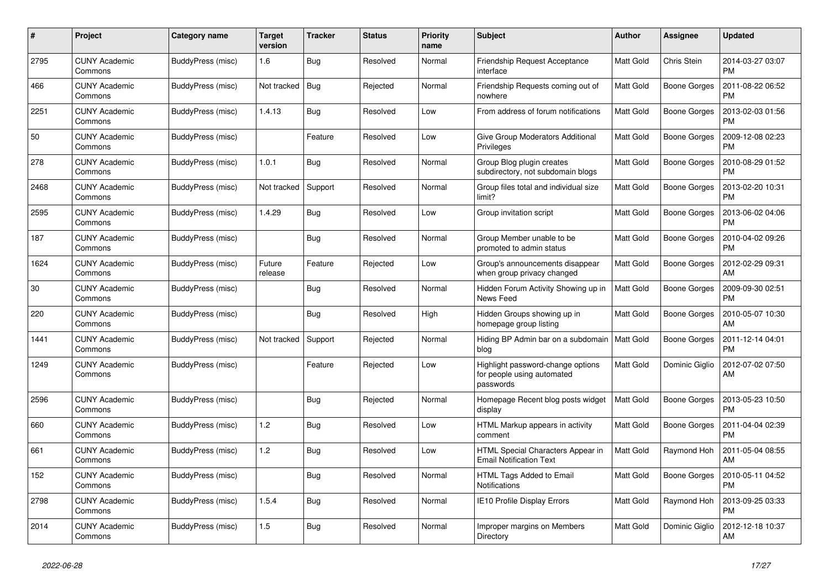| #    | Project                         | Category name     | Target<br>version | <b>Tracker</b> | <b>Status</b> | <b>Priority</b><br>name | <b>Subject</b>                                                               | <b>Author</b>    | <b>Assignee</b>     | <b>Updated</b>                |
|------|---------------------------------|-------------------|-------------------|----------------|---------------|-------------------------|------------------------------------------------------------------------------|------------------|---------------------|-------------------------------|
| 2795 | <b>CUNY Academic</b><br>Commons | BuddyPress (misc) | 1.6               | Bug            | Resolved      | Normal                  | Friendship Request Acceptance<br>interface                                   | <b>Matt Gold</b> | Chris Stein         | 2014-03-27 03:07<br><b>PM</b> |
| 466  | <b>CUNY Academic</b><br>Commons | BuddyPress (misc) | Not tracked       | Bug            | Rejected      | Normal                  | Friendship Requests coming out of<br>nowhere                                 | Matt Gold        | <b>Boone Gorges</b> | 2011-08-22 06:52<br><b>PM</b> |
| 2251 | <b>CUNY Academic</b><br>Commons | BuddyPress (misc) | 1.4.13            | <b>Bug</b>     | Resolved      | Low                     | From address of forum notifications                                          | <b>Matt Gold</b> | Boone Gorges        | 2013-02-03 01:56<br><b>PM</b> |
| 50   | <b>CUNY Academic</b><br>Commons | BuddyPress (misc) |                   | Feature        | Resolved      | Low                     | Give Group Moderators Additional<br>Privileges                               | <b>Matt Gold</b> | Boone Gorges        | 2009-12-08 02:23<br><b>PM</b> |
| 278  | <b>CUNY Academic</b><br>Commons | BuddyPress (misc) | 1.0.1             | <b>Bug</b>     | Resolved      | Normal                  | Group Blog plugin creates<br>subdirectory, not subdomain blogs               | Matt Gold        | Boone Gorges        | 2010-08-29 01:52<br><b>PM</b> |
| 2468 | <b>CUNY Academic</b><br>Commons | BuddyPress (misc) | Not tracked       | Support        | Resolved      | Normal                  | Group files total and individual size<br>limit?                              | <b>Matt Gold</b> | Boone Gorges        | 2013-02-20 10:31<br><b>PM</b> |
| 2595 | <b>CUNY Academic</b><br>Commons | BuddyPress (misc) | 1.4.29            | <b>Bug</b>     | Resolved      | Low                     | Group invitation script                                                      | <b>Matt Gold</b> | Boone Gorges        | 2013-06-02 04:06<br><b>PM</b> |
| 187  | <b>CUNY Academic</b><br>Commons | BuddyPress (misc) |                   | Bug            | Resolved      | Normal                  | Group Member unable to be<br>promoted to admin status                        | <b>Matt Gold</b> | Boone Gorges        | 2010-04-02 09:26<br><b>PM</b> |
| 1624 | <b>CUNY Academic</b><br>Commons | BuddyPress (misc) | Future<br>release | Feature        | Rejected      | Low                     | Group's announcements disappear<br>when group privacy changed                | Matt Gold        | Boone Gorges        | 2012-02-29 09:31<br>AM        |
| 30   | <b>CUNY Academic</b><br>Commons | BuddyPress (misc) |                   | <b>Bug</b>     | Resolved      | Normal                  | Hidden Forum Activity Showing up in<br>News Feed                             | Matt Gold        | Boone Gorges        | 2009-09-30 02:51<br><b>PM</b> |
| 220  | <b>CUNY Academic</b><br>Commons | BuddyPress (misc) |                   | <b>Bug</b>     | Resolved      | High                    | Hidden Groups showing up in<br>homepage group listing                        | <b>Matt Gold</b> | Boone Gorges        | 2010-05-07 10:30<br>AM        |
| 1441 | <b>CUNY Academic</b><br>Commons | BuddyPress (misc) | Not tracked       | Support        | Rejected      | Normal                  | Hiding BP Admin bar on a subdomain<br>blog                                   | <b>Matt Gold</b> | Boone Gorges        | 2011-12-14 04:01<br><b>PM</b> |
| 1249 | <b>CUNY Academic</b><br>Commons | BuddyPress (misc) |                   | Feature        | Rejected      | Low                     | Highlight password-change options<br>for people using automated<br>passwords | Matt Gold        | Dominic Giglio      | 2012-07-02 07:50<br>AM        |
| 2596 | <b>CUNY Academic</b><br>Commons | BuddyPress (misc) |                   | <b>Bug</b>     | Rejected      | Normal                  | Homepage Recent blog posts widget<br>display                                 | <b>Matt Gold</b> | Boone Gorges        | 2013-05-23 10:50<br><b>PM</b> |
| 660  | <b>CUNY Academic</b><br>Commons | BuddyPress (misc) | 1.2               | <b>Bug</b>     | Resolved      | Low                     | HTML Markup appears in activity<br>comment                                   | <b>Matt Gold</b> | Boone Gorges        | 2011-04-04 02:39<br><b>PM</b> |
| 661  | <b>CUNY Academic</b><br>Commons | BuddyPress (misc) | 1.2               | <b>Bug</b>     | Resolved      | Low                     | HTML Special Characters Appear in<br><b>Email Notification Text</b>          | <b>Matt Gold</b> | Raymond Hoh         | 2011-05-04 08:55<br>AM        |
| 152  | <b>CUNY Academic</b><br>Commons | BuddyPress (misc) |                   | Bug            | Resolved      | Normal                  | <b>HTML Tags Added to Email</b><br><b>Notifications</b>                      | <b>Matt Gold</b> | Boone Gorges        | 2010-05-11 04:52<br><b>PM</b> |
| 2798 | <b>CUNY Academic</b><br>Commons | BuddyPress (misc) | 1.5.4             | <b>Bug</b>     | Resolved      | Normal                  | IE10 Profile Display Errors                                                  | <b>Matt Gold</b> | Raymond Hoh         | 2013-09-25 03:33<br>PM        |
| 2014 | <b>CUNY Academic</b><br>Commons | BuddyPress (misc) | 1.5               | Bug            | Resolved      | Normal                  | Improper margins on Members<br>Directory                                     | <b>Matt Gold</b> | Dominic Giglio      | 2012-12-18 10:37<br>AM        |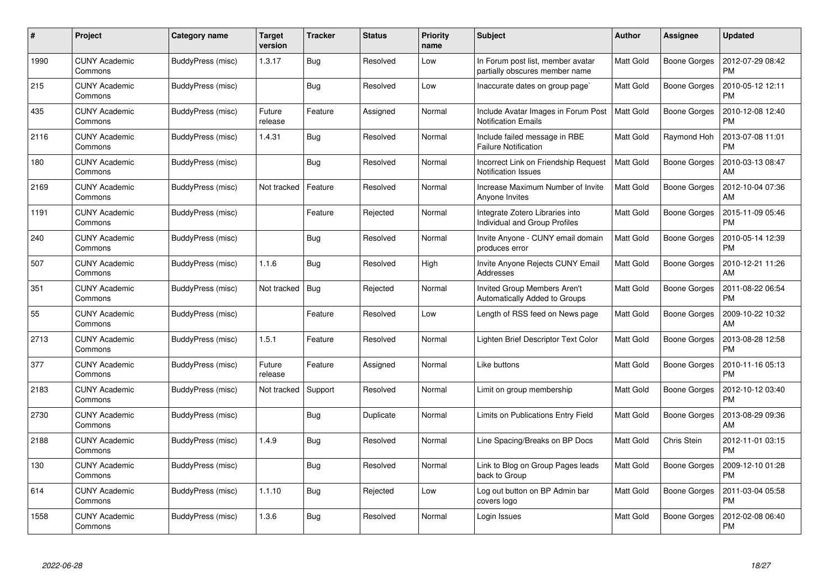| #    | Project                         | Category name     | <b>Target</b><br>version | <b>Tracker</b> | <b>Status</b> | <b>Priority</b><br>name | <b>Subject</b>                                                      | Author           | Assignee            | <b>Updated</b>                |
|------|---------------------------------|-------------------|--------------------------|----------------|---------------|-------------------------|---------------------------------------------------------------------|------------------|---------------------|-------------------------------|
| 1990 | <b>CUNY Academic</b><br>Commons | BuddyPress (misc) | 1.3.17                   | <b>Bug</b>     | Resolved      | Low                     | In Forum post list, member avatar<br>partially obscures member name | <b>Matt Gold</b> | <b>Boone Gorges</b> | 2012-07-29 08:42<br><b>PM</b> |
| 215  | <b>CUNY Academic</b><br>Commons | BuddyPress (misc) |                          | Bug            | Resolved      | Low                     | Inaccurate dates on group page`                                     | <b>Matt Gold</b> | <b>Boone Gorges</b> | 2010-05-12 12:11<br>PM        |
| 435  | <b>CUNY Academic</b><br>Commons | BuddyPress (misc) | Future<br>release        | Feature        | Assigned      | Normal                  | Include Avatar Images in Forum Post<br><b>Notification Emails</b>   | <b>Matt Gold</b> | <b>Boone Gorges</b> | 2010-12-08 12:40<br><b>PM</b> |
| 2116 | <b>CUNY Academic</b><br>Commons | BuddyPress (misc) | 1.4.31                   | <b>Bug</b>     | Resolved      | Normal                  | Include failed message in RBE<br><b>Failure Notification</b>        | <b>Matt Gold</b> | Raymond Hoh         | 2013-07-08 11:01<br><b>PM</b> |
| 180  | <b>CUNY Academic</b><br>Commons | BuddyPress (misc) |                          | Bug            | Resolved      | Normal                  | Incorrect Link on Friendship Request<br><b>Notification Issues</b>  | Matt Gold        | Boone Gorges        | 2010-03-13 08:47<br>AM        |
| 2169 | <b>CUNY Academic</b><br>Commons | BuddyPress (misc) | Not tracked              | Feature        | Resolved      | Normal                  | Increase Maximum Number of Invite<br>Anyone Invites                 | <b>Matt Gold</b> | Boone Gorges        | 2012-10-04 07:36<br>AM        |
| 1191 | <b>CUNY Academic</b><br>Commons | BuddyPress (misc) |                          | Feature        | Rejected      | Normal                  | Integrate Zotero Libraries into<br>Individual and Group Profiles    | <b>Matt Gold</b> | <b>Boone Gorges</b> | 2015-11-09 05:46<br><b>PM</b> |
| 240  | <b>CUNY Academic</b><br>Commons | BuddyPress (misc) |                          | Bug            | Resolved      | Normal                  | Invite Anyone - CUNY email domain<br>produces error                 | Matt Gold        | Boone Gorges        | 2010-05-14 12:39<br><b>PM</b> |
| 507  | <b>CUNY Academic</b><br>Commons | BuddyPress (misc) | 1.1.6                    | Bug            | Resolved      | High                    | Invite Anyone Rejects CUNY Email<br>Addresses                       | Matt Gold        | <b>Boone Gorges</b> | 2010-12-21 11:26<br>AM        |
| 351  | <b>CUNY Academic</b><br>Commons | BuddyPress (misc) | Not tracked              | Bug            | Rejected      | Normal                  | Invited Group Members Aren't<br>Automatically Added to Groups       | Matt Gold        | <b>Boone Gorges</b> | 2011-08-22 06:54<br><b>PM</b> |
| 55   | <b>CUNY Academic</b><br>Commons | BuddyPress (misc) |                          | Feature        | Resolved      | Low                     | Length of RSS feed on News page                                     | <b>Matt Gold</b> | <b>Boone Gorges</b> | 2009-10-22 10:32<br>AM        |
| 2713 | <b>CUNY Academic</b><br>Commons | BuddyPress (misc) | 1.5.1                    | Feature        | Resolved      | Normal                  | Lighten Brief Descriptor Text Color                                 | <b>Matt Gold</b> | Boone Gorges        | 2013-08-28 12:58<br>PM        |
| 377  | <b>CUNY Academic</b><br>Commons | BuddyPress (misc) | Future<br>release        | Feature        | Assigned      | Normal                  | Like buttons                                                        | <b>Matt Gold</b> | <b>Boone Gorges</b> | 2010-11-16 05:13<br><b>PM</b> |
| 2183 | <b>CUNY Academic</b><br>Commons | BuddyPress (misc) | Not tracked              | Support        | Resolved      | Normal                  | Limit on group membership                                           | <b>Matt Gold</b> | <b>Boone Gorges</b> | 2012-10-12 03:40<br><b>PM</b> |
| 2730 | <b>CUNY Academic</b><br>Commons | BuddyPress (misc) |                          | <b>Bug</b>     | Duplicate     | Normal                  | Limits on Publications Entry Field                                  | <b>Matt Gold</b> | <b>Boone Gorges</b> | 2013-08-29 09:36<br>AM        |
| 2188 | <b>CUNY Academic</b><br>Commons | BuddyPress (misc) | 1.4.9                    | Bug            | Resolved      | Normal                  | Line Spacing/Breaks on BP Docs                                      | <b>Matt Gold</b> | Chris Stein         | 2012-11-01 03:15<br><b>PM</b> |
| 130  | CUNY Academic<br>Commons        | BuddyPress (misc) |                          | Bug            | Resolved      | Normal                  | Link to Blog on Group Pages leads<br>back to Group                  | <b>Matt Gold</b> | Boone Gorges        | 2009-12-10 01:28<br><b>PM</b> |
| 614  | <b>CUNY Academic</b><br>Commons | BuddyPress (misc) | 1.1.10                   | <b>Bug</b>     | Rejected      | Low                     | Log out button on BP Admin bar<br>covers logo                       | <b>Matt Gold</b> | <b>Boone Gorges</b> | 2011-03-04 05:58<br><b>PM</b> |
| 1558 | CUNY Academic<br>Commons        | BuddyPress (misc) | 1.3.6                    | <b>Bug</b>     | Resolved      | Normal                  | Login Issues                                                        | <b>Matt Gold</b> | Boone Gorges        | 2012-02-08 06:40<br>PM        |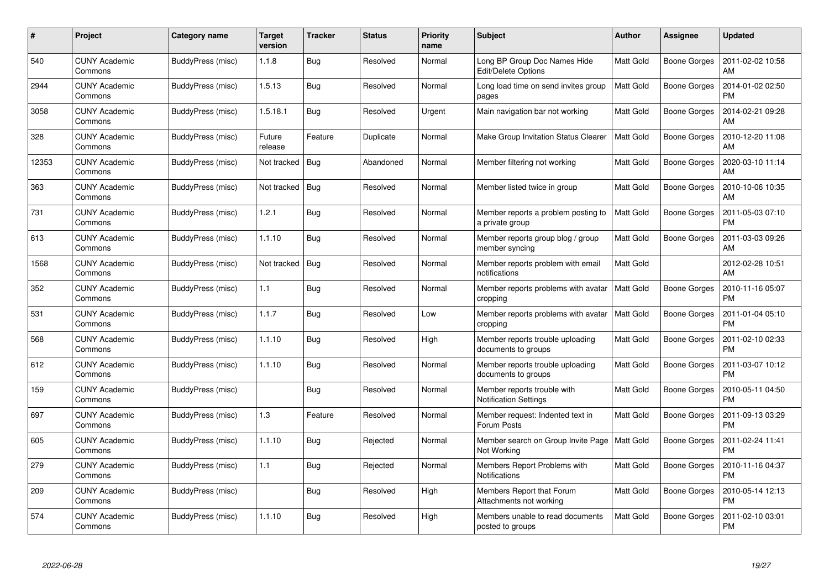| #     | Project                         | Category name     | <b>Target</b><br>version | <b>Tracker</b> | <b>Status</b> | <b>Priority</b><br>name | <b>Subject</b>                                              | <b>Author</b>    | <b>Assignee</b>     | <b>Updated</b>                |
|-------|---------------------------------|-------------------|--------------------------|----------------|---------------|-------------------------|-------------------------------------------------------------|------------------|---------------------|-------------------------------|
| 540   | <b>CUNY Academic</b><br>Commons | BuddyPress (misc) | 1.1.8                    | <b>Bug</b>     | Resolved      | Normal                  | Long BP Group Doc Names Hide<br><b>Edit/Delete Options</b>  | <b>Matt Gold</b> | Boone Gorges        | 2011-02-02 10:58<br>AM        |
| 2944  | <b>CUNY Academic</b><br>Commons | BuddyPress (misc) | 1.5.13                   | Bug            | Resolved      | Normal                  | Long load time on send invites group<br>pages               | <b>Matt Gold</b> | Boone Gorges        | 2014-01-02 02:50<br><b>PM</b> |
| 3058  | <b>CUNY Academic</b><br>Commons | BuddyPress (misc) | 1.5.18.1                 | <b>Bug</b>     | Resolved      | Urgent                  | Main navigation bar not working                             | <b>Matt Gold</b> | <b>Boone Gorges</b> | 2014-02-21 09:28<br>AM        |
| 328   | <b>CUNY Academic</b><br>Commons | BuddyPress (misc) | Future<br>release        | Feature        | Duplicate     | Normal                  | Make Group Invitation Status Clearer                        | <b>Matt Gold</b> | Boone Gorges        | 2010-12-20 11:08<br>AM        |
| 12353 | <b>CUNY Academic</b><br>Commons | BuddyPress (misc) | Not tracked              | <b>Bug</b>     | Abandoned     | Normal                  | Member filtering not working                                | <b>Matt Gold</b> | <b>Boone Gorges</b> | 2020-03-10 11:14<br>AM        |
| 363   | <b>CUNY Academic</b><br>Commons | BuddyPress (misc) | Not tracked              | Bug            | Resolved      | Normal                  | Member listed twice in group                                | Matt Gold        | Boone Gorges        | 2010-10-06 10:35<br>AM        |
| 731   | <b>CUNY Academic</b><br>Commons | BuddyPress (misc) | 1.2.1                    | <b>Bug</b>     | Resolved      | Normal                  | Member reports a problem posting to<br>a private group      | <b>Matt Gold</b> | <b>Boone Gorges</b> | 2011-05-03 07:10<br><b>PM</b> |
| 613   | <b>CUNY Academic</b><br>Commons | BuddyPress (misc) | 1.1.10                   | Bug            | Resolved      | Normal                  | Member reports group blog / group<br>member syncing         | <b>Matt Gold</b> | Boone Gorges        | 2011-03-03 09:26<br>AM        |
| 1568  | <b>CUNY Academic</b><br>Commons | BuddyPress (misc) | Not tracked              | <b>Bug</b>     | Resolved      | Normal                  | Member reports problem with email<br>notifications          | <b>Matt Gold</b> |                     | 2012-02-28 10:51<br>AM        |
| 352   | <b>CUNY Academic</b><br>Commons | BuddyPress (misc) | 1.1                      | <b>Bug</b>     | Resolved      | Normal                  | Member reports problems with avatar<br>cropping             | <b>Matt Gold</b> | <b>Boone Gorges</b> | 2010-11-16 05:07<br><b>PM</b> |
| 531   | <b>CUNY Academic</b><br>Commons | BuddyPress (misc) | 1.1.7                    | Bug            | Resolved      | Low                     | Member reports problems with avatar<br>cropping             | <b>Matt Gold</b> | <b>Boone Gorges</b> | 2011-01-04 05:10<br><b>PM</b> |
| 568   | <b>CUNY Academic</b><br>Commons | BuddyPress (misc) | 1.1.10                   | Bug            | Resolved      | High                    | Member reports trouble uploading<br>documents to groups     | Matt Gold        | Boone Gorges        | 2011-02-10 02:33<br><b>PM</b> |
| 612   | <b>CUNY Academic</b><br>Commons | BuddyPress (misc) | 1.1.10                   | Bug            | Resolved      | Normal                  | Member reports trouble uploading<br>documents to groups     | Matt Gold        | Boone Gorges        | 2011-03-07 10:12<br><b>PM</b> |
| 159   | <b>CUNY Academic</b><br>Commons | BuddyPress (misc) |                          | Bug            | Resolved      | Normal                  | Member reports trouble with<br><b>Notification Settings</b> | <b>Matt Gold</b> | Boone Gorges        | 2010-05-11 04:50<br><b>PM</b> |
| 697   | <b>CUNY Academic</b><br>Commons | BuddyPress (misc) | 1.3                      | Feature        | Resolved      | Normal                  | Member request: Indented text in<br>Forum Posts             | <b>Matt Gold</b> | Boone Gorges        | 2011-09-13 03:29<br><b>PM</b> |
| 605   | <b>CUNY Academic</b><br>Commons | BuddyPress (misc) | 1.1.10                   | Bug            | Rejected      | Normal                  | Member search on Group Invite Page<br>Not Working           | <b>Matt Gold</b> | Boone Gorges        | 2011-02-24 11:41<br><b>PM</b> |
| 279   | <b>CUNY Academic</b><br>Commons | BuddyPress (misc) | 1.1                      | <b>Bug</b>     | Rejected      | Normal                  | Members Report Problems with<br>Notifications               | <b>Matt Gold</b> | <b>Boone Gorges</b> | 2010-11-16 04:37<br><b>PM</b> |
| 209   | <b>CUNY Academic</b><br>Commons | BuddyPress (misc) |                          | Bug            | Resolved      | High                    | Members Report that Forum<br>Attachments not working        | Matt Gold        | <b>Boone Gorges</b> | 2010-05-14 12:13<br><b>PM</b> |
| 574   | <b>CUNY Academic</b><br>Commons | BuddyPress (misc) | 1.1.10                   | <b>Bug</b>     | Resolved      | High                    | Members unable to read documents<br>posted to groups        | <b>Matt Gold</b> | Boone Gorges        | 2011-02-10 03:01<br><b>PM</b> |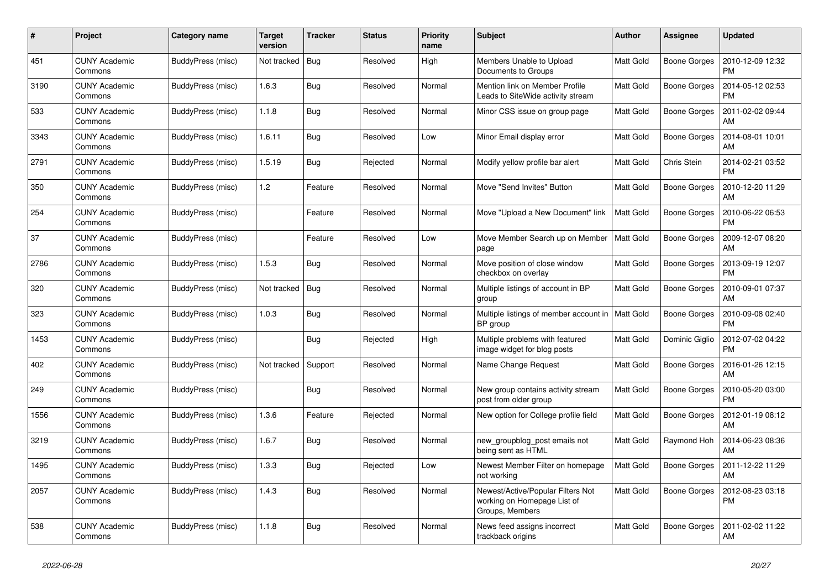| #    | <b>Project</b>                  | Category name     | Target<br>version | <b>Tracker</b> | <b>Status</b> | <b>Priority</b><br>name | <b>Subject</b>                                                                      | <b>Author</b>    | <b>Assignee</b>     | <b>Updated</b>                |
|------|---------------------------------|-------------------|-------------------|----------------|---------------|-------------------------|-------------------------------------------------------------------------------------|------------------|---------------------|-------------------------------|
| 451  | <b>CUNY Academic</b><br>Commons | BuddyPress (misc) | Not tracked       | Bug            | Resolved      | High                    | Members Unable to Upload<br>Documents to Groups                                     | <b>Matt Gold</b> | <b>Boone Gorges</b> | 2010-12-09 12:32<br><b>PM</b> |
| 3190 | <b>CUNY Academic</b><br>Commons | BuddyPress (misc) | 1.6.3             | Bug            | Resolved      | Normal                  | Mention link on Member Profile<br>Leads to SiteWide activity stream                 | <b>Matt Gold</b> | <b>Boone Gorges</b> | 2014-05-12 02:53<br><b>PM</b> |
| 533  | <b>CUNY Academic</b><br>Commons | BuddyPress (misc) | 1.1.8             | <b>Bug</b>     | Resolved      | Normal                  | Minor CSS issue on group page                                                       | <b>Matt Gold</b> | Boone Gorges        | 2011-02-02 09:44<br>AM        |
| 3343 | <b>CUNY Academic</b><br>Commons | BuddyPress (misc) | 1.6.11            | <b>Bug</b>     | Resolved      | Low                     | Minor Email display error                                                           | <b>Matt Gold</b> | <b>Boone Gorges</b> | 2014-08-01 10:01<br>AM        |
| 2791 | <b>CUNY Academic</b><br>Commons | BuddyPress (misc) | 1.5.19            | Bug            | Rejected      | Normal                  | Modify yellow profile bar alert                                                     | <b>Matt Gold</b> | Chris Stein         | 2014-02-21 03:52<br>PM        |
| 350  | <b>CUNY Academic</b><br>Commons | BuddyPress (misc) | 1.2               | Feature        | Resolved      | Normal                  | Move "Send Invites" Button                                                          | <b>Matt Gold</b> | Boone Gorges        | 2010-12-20 11:29<br>AM        |
| 254  | <b>CUNY Academic</b><br>Commons | BuddyPress (misc) |                   | Feature        | Resolved      | Normal                  | Move "Upload a New Document" link                                                   | <b>Matt Gold</b> | <b>Boone Gorges</b> | 2010-06-22 06:53<br><b>PM</b> |
| 37   | <b>CUNY Academic</b><br>Commons | BuddyPress (misc) |                   | Feature        | Resolved      | Low                     | Move Member Search up on Member<br>page                                             | <b>Matt Gold</b> | <b>Boone Gorges</b> | 2009-12-07 08:20<br>AM        |
| 2786 | <b>CUNY Academic</b><br>Commons | BuddyPress (misc) | 1.5.3             | Bug            | Resolved      | Normal                  | Move position of close window<br>checkbox on overlay                                | <b>Matt Gold</b> | Boone Gorges        | 2013-09-19 12:07<br><b>PM</b> |
| 320  | <b>CUNY Academic</b><br>Commons | BuddyPress (misc) | Not tracked       | <b>Bug</b>     | Resolved      | Normal                  | Multiple listings of account in BP<br>group                                         | <b>Matt Gold</b> | Boone Gorges        | 2010-09-01 07:37<br>AM        |
| 323  | <b>CUNY Academic</b><br>Commons | BuddyPress (misc) | 1.0.3             | <b>Bug</b>     | Resolved      | Normal                  | Multiple listings of member account in<br>BP group                                  | <b>Matt Gold</b> | Boone Gorges        | 2010-09-08 02:40<br><b>PM</b> |
| 1453 | <b>CUNY Academic</b><br>Commons | BuddyPress (misc) |                   | Bug            | Rejected      | High                    | Multiple problems with featured<br>image widget for blog posts                      | <b>Matt Gold</b> | Dominic Giglio      | 2012-07-02 04:22<br><b>PM</b> |
| 402  | <b>CUNY Academic</b><br>Commons | BuddyPress (misc) | Not tracked       | Support        | Resolved      | Normal                  | Name Change Request                                                                 | <b>Matt Gold</b> | Boone Gorges        | 2016-01-26 12:15<br>AM        |
| 249  | CUNY Academic<br>Commons        | BuddyPress (misc) |                   | <b>Bug</b>     | Resolved      | Normal                  | New group contains activity stream<br>post from older group                         | <b>Matt Gold</b> | Boone Gorges        | 2010-05-20 03:00<br><b>PM</b> |
| 1556 | <b>CUNY Academic</b><br>Commons | BuddyPress (misc) | 1.3.6             | Feature        | Rejected      | Normal                  | New option for College profile field                                                | <b>Matt Gold</b> | <b>Boone Gorges</b> | 2012-01-19 08:12<br>AM        |
| 3219 | <b>CUNY Academic</b><br>Commons | BuddyPress (misc) | 1.6.7             | Bug            | Resolved      | Normal                  | new groupblog post emails not<br>being sent as HTML                                 | <b>Matt Gold</b> | Raymond Hoh         | 2014-06-23 08:36<br>AM        |
| 1495 | <b>CUNY Academic</b><br>Commons | BuddyPress (misc) | 1.3.3             | <b>Bug</b>     | Rejected      | Low                     | Newest Member Filter on homepage<br>not working                                     | <b>Matt Gold</b> | <b>Boone Gorges</b> | 2011-12-22 11:29<br>AM        |
| 2057 | <b>CUNY Academic</b><br>Commons | BuddyPress (misc) | 1.4.3             | Bug            | Resolved      | Normal                  | Newest/Active/Popular Filters Not<br>working on Homepage List of<br>Groups, Members | <b>Matt Gold</b> | <b>Boone Gorges</b> | 2012-08-23 03:18<br><b>PM</b> |
| 538  | <b>CUNY Academic</b><br>Commons | BuddyPress (misc) | 1.1.8             | Bug            | Resolved      | Normal                  | News feed assigns incorrect<br>trackback origins                                    | <b>Matt Gold</b> | <b>Boone Gorges</b> | 2011-02-02 11:22<br>AM        |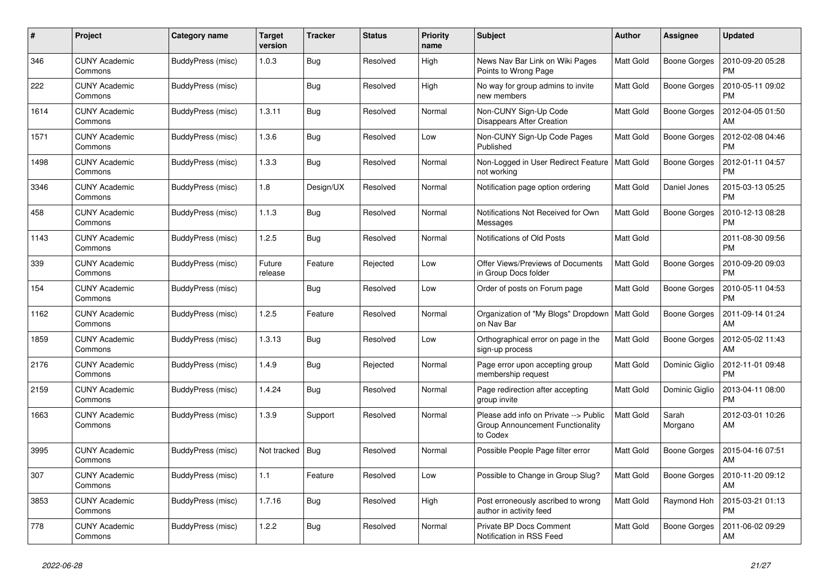| #    | Project                         | Category name     | Target<br>version | <b>Tracker</b> | <b>Status</b> | <b>Priority</b><br>name | <b>Subject</b>                                                                        | <b>Author</b>    | Assignee            | <b>Updated</b>                |
|------|---------------------------------|-------------------|-------------------|----------------|---------------|-------------------------|---------------------------------------------------------------------------------------|------------------|---------------------|-------------------------------|
| 346  | <b>CUNY Academic</b><br>Commons | BuddyPress (misc) | 1.0.3             | <b>Bug</b>     | Resolved      | High                    | News Nav Bar Link on Wiki Pages<br>Points to Wrong Page                               | <b>Matt Gold</b> | <b>Boone Gorges</b> | 2010-09-20 05:28<br><b>PM</b> |
| 222  | <b>CUNY Academic</b><br>Commons | BuddyPress (misc) |                   | Bug            | Resolved      | High                    | No way for group admins to invite<br>new members                                      | <b>Matt Gold</b> | <b>Boone Gorges</b> | 2010-05-11 09:02<br><b>PM</b> |
| 1614 | <b>CUNY Academic</b><br>Commons | BuddyPress (misc) | 1.3.11            | <b>Bug</b>     | Resolved      | Normal                  | Non-CUNY Sign-Up Code<br>Disappears After Creation                                    | <b>Matt Gold</b> | Boone Gorges        | 2012-04-05 01:50<br>AM        |
| 1571 | <b>CUNY Academic</b><br>Commons | BuddyPress (misc) | 1.3.6             | <b>Bug</b>     | Resolved      | Low                     | Non-CUNY Sign-Up Code Pages<br>Published                                              | <b>Matt Gold</b> | <b>Boone Gorges</b> | 2012-02-08 04:46<br><b>PM</b> |
| 1498 | <b>CUNY Academic</b><br>Commons | BuddyPress (misc) | 1.3.3             | Bug            | Resolved      | Normal                  | Non-Logged in User Redirect Feature<br>not working                                    | <b>Matt Gold</b> | <b>Boone Gorges</b> | 2012-01-11 04:57<br>PM        |
| 3346 | <b>CUNY Academic</b><br>Commons | BuddyPress (misc) | 1.8               | Design/UX      | Resolved      | Normal                  | Notification page option ordering                                                     | <b>Matt Gold</b> | Daniel Jones        | 2015-03-13 05:25<br><b>PM</b> |
| 458  | <b>CUNY Academic</b><br>Commons | BuddyPress (misc) | 1.1.3             | Bug            | Resolved      | Normal                  | Notifications Not Received for Own<br>Messages                                        | Matt Gold        | <b>Boone Gorges</b> | 2010-12-13 08:28<br><b>PM</b> |
| 1143 | <b>CUNY Academic</b><br>Commons | BuddyPress (misc) | 1.2.5             | Bug            | Resolved      | Normal                  | Notifications of Old Posts                                                            | Matt Gold        |                     | 2011-08-30 09:56<br><b>PM</b> |
| 339  | <b>CUNY Academic</b><br>Commons | BuddyPress (misc) | Future<br>release | Feature        | Rejected      | Low                     | Offer Views/Previews of Documents<br>in Group Docs folder                             | <b>Matt Gold</b> | <b>Boone Gorges</b> | 2010-09-20 09:03<br><b>PM</b> |
| 154  | <b>CUNY Academic</b><br>Commons | BuddyPress (misc) |                   | Bug            | Resolved      | Low                     | Order of posts on Forum page                                                          | <b>Matt Gold</b> | Boone Gorges        | 2010-05-11 04:53<br><b>PM</b> |
| 1162 | <b>CUNY Academic</b><br>Commons | BuddyPress (misc) | 1.2.5             | Feature        | Resolved      | Normal                  | Organization of "My Blogs" Dropdown<br>on Nav Bar                                     | <b>Matt Gold</b> | Boone Gorges        | 2011-09-14 01:24<br>AM        |
| 1859 | <b>CUNY Academic</b><br>Commons | BuddyPress (misc) | 1.3.13            | <b>Bug</b>     | Resolved      | Low                     | Orthographical error on page in the<br>sign-up process                                | <b>Matt Gold</b> | <b>Boone Gorges</b> | 2012-05-02 11:43<br>AM        |
| 2176 | <b>CUNY Academic</b><br>Commons | BuddyPress (misc) | 1.4.9             | <b>Bug</b>     | Rejected      | Normal                  | Page error upon accepting group<br>membership request                                 | <b>Matt Gold</b> | Dominic Giglio      | 2012-11-01 09:48<br><b>PM</b> |
| 2159 | CUNY Academic<br>Commons        | BuddyPress (misc) | 1.4.24            | <b>Bug</b>     | Resolved      | Normal                  | Page redirection after accepting<br>group invite                                      | Matt Gold        | Dominic Giglio      | 2013-04-11 08:00<br><b>PM</b> |
| 1663 | <b>CUNY Academic</b><br>Commons | BuddyPress (misc) | 1.3.9             | Support        | Resolved      | Normal                  | Please add info on Private --> Public<br>Group Announcement Functionality<br>to Codex | <b>Matt Gold</b> | Sarah<br>Morgano    | 2012-03-01 10:26<br>AM        |
| 3995 | <b>CUNY Academic</b><br>Commons | BuddyPress (misc) | Not tracked       | Bug            | Resolved      | Normal                  | Possible People Page filter error                                                     | <b>Matt Gold</b> | <b>Boone Gorges</b> | 2015-04-16 07:51<br>AM        |
| 307  | <b>CUNY Academic</b><br>Commons | BuddyPress (misc) | 1.1               | Feature        | Resolved      | Low                     | Possible to Change in Group Slug?                                                     | Matt Gold        | Boone Gorges        | 2010-11-20 09:12<br>AM        |
| 3853 | <b>CUNY Academic</b><br>Commons | BuddyPress (misc) | 1.7.16            | <b>Bug</b>     | Resolved      | High                    | Post erroneously ascribed to wrong<br>author in activity feed                         | <b>Matt Gold</b> | Raymond Hoh         | 2015-03-21 01:13<br><b>PM</b> |
| 778  | <b>CUNY Academic</b><br>Commons | BuddyPress (misc) | 1.2.2             | Bug            | Resolved      | Normal                  | Private BP Docs Comment<br>Notification in RSS Feed                                   | <b>Matt Gold</b> | <b>Boone Gorges</b> | 2011-06-02 09:29<br>AM        |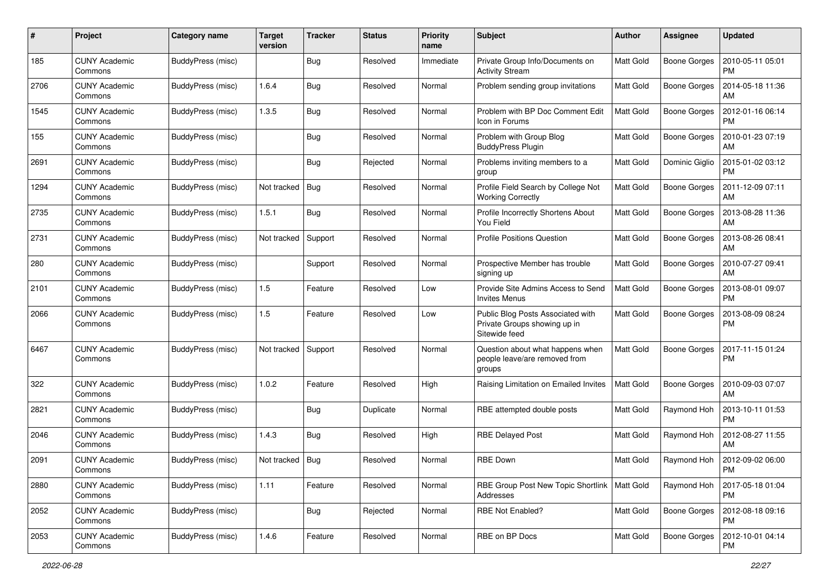| #    | Project                         | Category name     | <b>Target</b><br>version | <b>Tracker</b> | <b>Status</b> | <b>Priority</b><br>name | <b>Subject</b>                                                                     | Author           | <b>Assignee</b>     | <b>Updated</b>                |
|------|---------------------------------|-------------------|--------------------------|----------------|---------------|-------------------------|------------------------------------------------------------------------------------|------------------|---------------------|-------------------------------|
| 185  | <b>CUNY Academic</b><br>Commons | BuddyPress (misc) |                          | Bug            | Resolved      | Immediate               | Private Group Info/Documents on<br><b>Activity Stream</b>                          | Matt Gold        | <b>Boone Gorges</b> | 2010-05-11 05:01<br>PM        |
| 2706 | <b>CUNY Academic</b><br>Commons | BuddyPress (misc) | 1.6.4                    | <b>Bug</b>     | Resolved      | Normal                  | Problem sending group invitations                                                  | <b>Matt Gold</b> | <b>Boone Gorges</b> | 2014-05-18 11:36<br>AM        |
| 1545 | <b>CUNY Academic</b><br>Commons | BuddyPress (misc) | 1.3.5                    | Bug            | Resolved      | Normal                  | Problem with BP Doc Comment Edit<br>Icon in Forums                                 | Matt Gold        | <b>Boone Gorges</b> | 2012-01-16 06:14<br><b>PM</b> |
| 155  | <b>CUNY Academic</b><br>Commons | BuddyPress (misc) |                          | <b>Bug</b>     | Resolved      | Normal                  | Problem with Group Blog<br><b>BuddyPress Plugin</b>                                | <b>Matt Gold</b> | <b>Boone Gorges</b> | 2010-01-23 07:19<br>AM        |
| 2691 | <b>CUNY Academic</b><br>Commons | BuddyPress (misc) |                          | <b>Bug</b>     | Rejected      | Normal                  | Problems inviting members to a<br>group                                            | <b>Matt Gold</b> | Dominic Giglio      | 2015-01-02 03:12<br><b>PM</b> |
| 1294 | <b>CUNY Academic</b><br>Commons | BuddyPress (misc) | Not tracked              | Bug            | Resolved      | Normal                  | Profile Field Search by College Not<br><b>Working Correctly</b>                    | Matt Gold        | Boone Gorges        | 2011-12-09 07:11<br>AM        |
| 2735 | <b>CUNY Academic</b><br>Commons | BuddyPress (misc) | 1.5.1                    | Bug            | Resolved      | Normal                  | Profile Incorrectly Shortens About<br>You Field                                    | <b>Matt Gold</b> | Boone Gorges        | 2013-08-28 11:36<br>AM        |
| 2731 | <b>CUNY Academic</b><br>Commons | BuddyPress (misc) | Not tracked              | Support        | Resolved      | Normal                  | <b>Profile Positions Question</b>                                                  | Matt Gold        | <b>Boone Gorges</b> | 2013-08-26 08:41<br>AM        |
| 280  | <b>CUNY Academic</b><br>Commons | BuddyPress (misc) |                          | Support        | Resolved      | Normal                  | Prospective Member has trouble<br>signing up                                       | <b>Matt Gold</b> | Boone Gorges        | 2010-07-27 09:41<br>AM        |
| 2101 | <b>CUNY Academic</b><br>Commons | BuddyPress (misc) | 1.5                      | Feature        | Resolved      | Low                     | Provide Site Admins Access to Send<br><b>Invites Menus</b>                         | Matt Gold        | <b>Boone Gorges</b> | 2013-08-01 09:07<br><b>PM</b> |
| 2066 | <b>CUNY Academic</b><br>Commons | BuddyPress (misc) | 1.5                      | Feature        | Resolved      | Low                     | Public Blog Posts Associated with<br>Private Groups showing up in<br>Sitewide feed | <b>Matt Gold</b> | <b>Boone Gorges</b> | 2013-08-09 08:24<br><b>PM</b> |
| 6467 | <b>CUNY Academic</b><br>Commons | BuddyPress (misc) | Not tracked              | Support        | Resolved      | Normal                  | Question about what happens when<br>people leave/are removed from<br>groups        | <b>Matt Gold</b> | <b>Boone Gorges</b> | 2017-11-15 01:24<br><b>PM</b> |
| 322  | <b>CUNY Academic</b><br>Commons | BuddyPress (misc) | 1.0.2                    | Feature        | Resolved      | High                    | Raising Limitation on Emailed Invites                                              | <b>Matt Gold</b> | Boone Gorges        | 2010-09-03 07:07<br>AM        |
| 2821 | <b>CUNY Academic</b><br>Commons | BuddyPress (misc) |                          | Bug            | Duplicate     | Normal                  | RBE attempted double posts                                                         | <b>Matt Gold</b> | Raymond Hoh         | 2013-10-11 01:53<br><b>PM</b> |
| 2046 | <b>CUNY Academic</b><br>Commons | BuddyPress (misc) | 1.4.3                    | <b>Bug</b>     | Resolved      | High                    | <b>RBE Delayed Post</b>                                                            | <b>Matt Gold</b> | Raymond Hoh         | 2012-08-27 11:55<br>AM        |
| 2091 | <b>CUNY Academic</b><br>Commons | BuddyPress (misc) | Not tracked   Bug        |                | Resolved      | Normal                  | <b>RBE Down</b>                                                                    | Matt Gold        | Raymond Hoh         | 2012-09-02 06:00<br>PM        |
| 2880 | <b>CUNY Academic</b><br>Commons | BuddyPress (misc) | 1.11                     | Feature        | Resolved      | Normal                  | RBE Group Post New Topic Shortlink<br>Addresses                                    | <b>Matt Gold</b> | Raymond Hoh         | 2017-05-18 01:04<br><b>PM</b> |
| 2052 | <b>CUNY Academic</b><br>Commons | BuddyPress (misc) |                          | <b>Bug</b>     | Rejected      | Normal                  | RBE Not Enabled?                                                                   | Matt Gold        | Boone Gorges        | 2012-08-18 09:16<br><b>PM</b> |
| 2053 | <b>CUNY Academic</b><br>Commons | BuddyPress (misc) | 1.4.6                    | Feature        | Resolved      | Normal                  | RBE on BP Docs                                                                     | Matt Gold        | Boone Gorges        | 2012-10-01 04:14<br>PM        |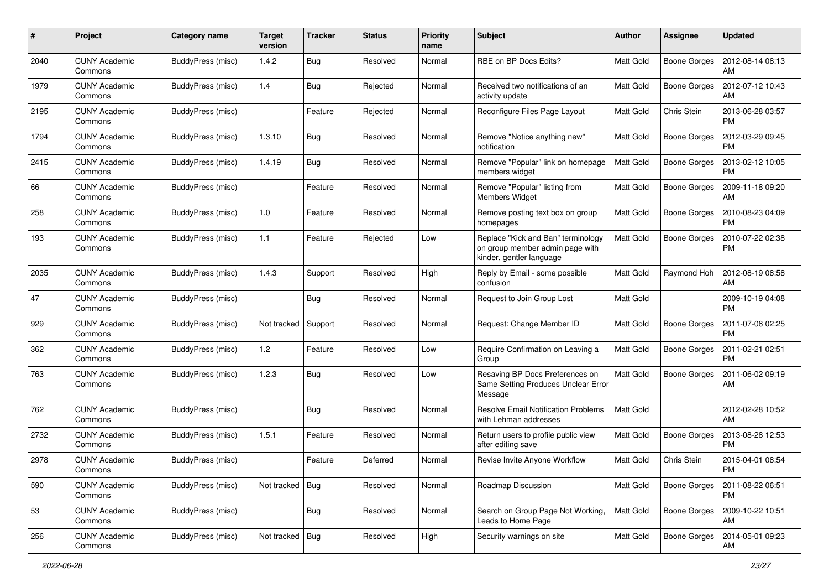| #    | Project                         | Category name     | <b>Target</b><br>version | <b>Tracker</b> | <b>Status</b> | <b>Priority</b><br>name | <b>Subject</b>                                                                                    | Author           | <b>Assignee</b>     | <b>Updated</b>                |
|------|---------------------------------|-------------------|--------------------------|----------------|---------------|-------------------------|---------------------------------------------------------------------------------------------------|------------------|---------------------|-------------------------------|
| 2040 | <b>CUNY Academic</b><br>Commons | BuddyPress (misc) | 1.4.2                    | Bug            | Resolved      | Normal                  | RBE on BP Docs Edits?                                                                             | Matt Gold        | <b>Boone Gorges</b> | 2012-08-14 08:13<br>AM        |
| 1979 | <b>CUNY Academic</b><br>Commons | BuddyPress (misc) | 1.4                      | <b>Bug</b>     | Rejected      | Normal                  | Received two notifications of an<br>activity update                                               | Matt Gold        | <b>Boone Gorges</b> | 2012-07-12 10:43<br>AM        |
| 2195 | CUNY Academic<br>Commons        | BuddyPress (misc) |                          | Feature        | Rejected      | Normal                  | Reconfigure Files Page Layout                                                                     | <b>Matt Gold</b> | Chris Stein         | 2013-06-28 03:57<br><b>PM</b> |
| 1794 | <b>CUNY Academic</b><br>Commons | BuddyPress (misc) | 1.3.10                   | <b>Bug</b>     | Resolved      | Normal                  | Remove "Notice anything new"<br>notification                                                      | <b>Matt Gold</b> | <b>Boone Gorges</b> | 2012-03-29 09:45<br>PM        |
| 2415 | <b>CUNY Academic</b><br>Commons | BuddyPress (misc) | 1.4.19                   | <b>Bug</b>     | Resolved      | Normal                  | Remove "Popular" link on homepage<br>members widget                                               | <b>Matt Gold</b> | <b>Boone Gorges</b> | 2013-02-12 10:05<br><b>PM</b> |
| 66   | <b>CUNY Academic</b><br>Commons | BuddyPress (misc) |                          | Feature        | Resolved      | Normal                  | Remove "Popular" listing from<br><b>Members Widget</b>                                            | <b>Matt Gold</b> | Boone Gorges        | 2009-11-18 09:20<br>AM        |
| 258  | <b>CUNY Academic</b><br>Commons | BuddyPress (misc) | 1.0                      | Feature        | Resolved      | Normal                  | Remove posting text box on group<br>homepages                                                     | <b>Matt Gold</b> | Boone Gorges        | 2010-08-23 04:09<br><b>PM</b> |
| 193  | <b>CUNY Academic</b><br>Commons | BuddyPress (misc) | 1.1                      | Feature        | Rejected      | Low                     | Replace "Kick and Ban" terminology<br>on group member admin page with<br>kinder, gentler language | Matt Gold        | <b>Boone Gorges</b> | 2010-07-22 02:38<br>PM        |
| 2035 | <b>CUNY Academic</b><br>Commons | BuddyPress (misc) | 1.4.3                    | Support        | Resolved      | High                    | Reply by Email - some possible<br>confusion                                                       | <b>Matt Gold</b> | Raymond Hoh         | 2012-08-19 08:58<br>AM        |
| 47   | <b>CUNY Academic</b><br>Commons | BuddyPress (misc) |                          | <b>Bug</b>     | Resolved      | Normal                  | Request to Join Group Lost                                                                        | <b>Matt Gold</b> |                     | 2009-10-19 04:08<br><b>PM</b> |
| 929  | <b>CUNY Academic</b><br>Commons | BuddyPress (misc) | Not tracked              | Support        | Resolved      | Normal                  | Request: Change Member ID                                                                         | Matt Gold        | <b>Boone Gorges</b> | 2011-07-08 02:25<br><b>PM</b> |
| 362  | <b>CUNY Academic</b><br>Commons | BuddyPress (misc) | 1.2                      | Feature        | Resolved      | Low                     | Require Confirmation on Leaving a<br>Group                                                        | <b>Matt Gold</b> | <b>Boone Gorges</b> | 2011-02-21 02:51<br><b>PM</b> |
| 763  | <b>CUNY Academic</b><br>Commons | BuddyPress (misc) | 1.2.3                    | <b>Bug</b>     | Resolved      | Low                     | Resaving BP Docs Preferences on<br>Same Setting Produces Unclear Error<br>Message                 | <b>Matt Gold</b> | <b>Boone Gorges</b> | 2011-06-02 09:19<br>AM        |
| 762  | <b>CUNY Academic</b><br>Commons | BuddyPress (misc) |                          | Bug            | Resolved      | Normal                  | <b>Resolve Email Notification Problems</b><br>with Lehman addresses                               | Matt Gold        |                     | 2012-02-28 10:52<br>AM        |
| 2732 | <b>CUNY Academic</b><br>Commons | BuddyPress (misc) | 1.5.1                    | Feature        | Resolved      | Normal                  | Return users to profile public view<br>after editing save                                         | Matt Gold        | <b>Boone Gorges</b> | 2013-08-28 12:53<br><b>PM</b> |
| 2978 | <b>CUNY Academic</b><br>Commons | BuddyPress (misc) |                          | Feature        | Deferred      | Normal                  | Revise Invite Anyone Workflow                                                                     | Matt Gold        | Chris Stein         | 2015-04-01 08:54<br>PM        |
| 590  | <b>CUNY Academic</b><br>Commons | BuddyPress (misc) | Not tracked   Bug        |                | Resolved      | Normal                  | Roadmap Discussion                                                                                | Matt Gold        | Boone Gorges        | 2011-08-22 06:51<br><b>PM</b> |
| 53   | <b>CUNY Academic</b><br>Commons | BuddyPress (misc) |                          | <b>Bug</b>     | Resolved      | Normal                  | Search on Group Page Not Working,<br>Leads to Home Page                                           | Matt Gold        | Boone Gorges        | 2009-10-22 10:51<br><b>AM</b> |
| 256  | <b>CUNY Academic</b><br>Commons | BuddyPress (misc) | Not tracked   Bug        |                | Resolved      | High                    | Security warnings on site                                                                         | Matt Gold        | Boone Gorges        | 2014-05-01 09:23<br>AM        |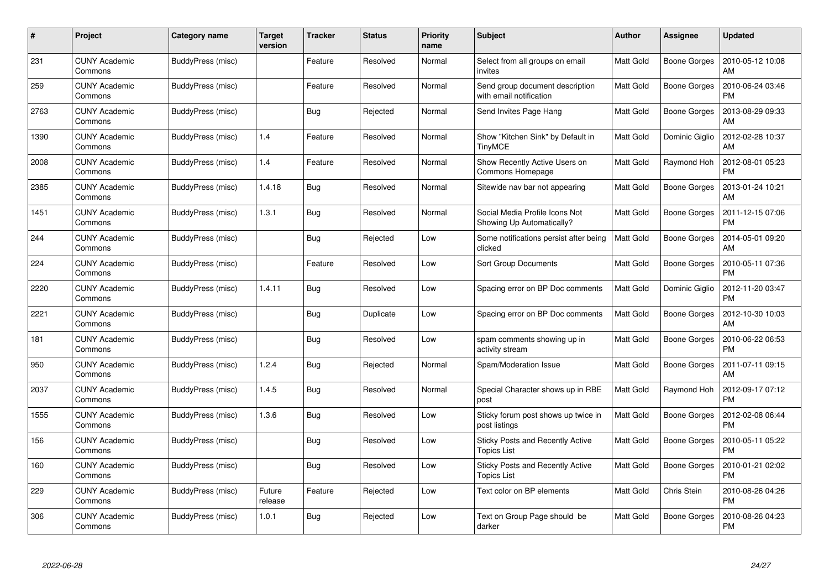| #    | Project                         | Category name     | <b>Target</b><br>version | <b>Tracker</b> | <b>Status</b> | <b>Priority</b><br>name | <b>Subject</b>                                              | <b>Author</b>    | <b>Assignee</b>     | <b>Updated</b>                |
|------|---------------------------------|-------------------|--------------------------|----------------|---------------|-------------------------|-------------------------------------------------------------|------------------|---------------------|-------------------------------|
| 231  | <b>CUNY Academic</b><br>Commons | BuddyPress (misc) |                          | Feature        | Resolved      | Normal                  | Select from all groups on email<br>invites                  | <b>Matt Gold</b> | Boone Gorges        | 2010-05-12 10:08<br>AM        |
| 259  | <b>CUNY Academic</b><br>Commons | BuddyPress (misc) |                          | Feature        | Resolved      | Normal                  | Send group document description<br>with email notification  | Matt Gold        | <b>Boone Gorges</b> | 2010-06-24 03:46<br><b>PM</b> |
| 2763 | <b>CUNY Academic</b><br>Commons | BuddyPress (misc) |                          | <b>Bug</b>     | Rejected      | Normal                  | Send Invites Page Hang                                      | <b>Matt Gold</b> | <b>Boone Gorges</b> | 2013-08-29 09:33<br>AM        |
| 1390 | <b>CUNY Academic</b><br>Commons | BuddyPress (misc) | 1.4                      | Feature        | Resolved      | Normal                  | Show "Kitchen Sink" by Default in<br><b>TinyMCE</b>         | <b>Matt Gold</b> | Dominic Giglio      | 2012-02-28 10:37<br>AM        |
| 2008 | <b>CUNY Academic</b><br>Commons | BuddyPress (misc) | 1.4                      | Feature        | Resolved      | Normal                  | Show Recently Active Users on<br>Commons Homepage           | Matt Gold        | Raymond Hoh         | 2012-08-01 05:23<br><b>PM</b> |
| 2385 | <b>CUNY Academic</b><br>Commons | BuddyPress (misc) | 1.4.18                   | Bug            | Resolved      | Normal                  | Sitewide nav bar not appearing                              | Matt Gold        | Boone Gorges        | 2013-01-24 10:21<br>AM        |
| 1451 | <b>CUNY Academic</b><br>Commons | BuddyPress (misc) | 1.3.1                    | Bug            | Resolved      | Normal                  | Social Media Profile Icons Not<br>Showing Up Automatically? | Matt Gold        | Boone Gorges        | 2011-12-15 07:06<br><b>PM</b> |
| 244  | <b>CUNY Academic</b><br>Commons | BuddyPress (misc) |                          | Bug            | Rejected      | Low                     | Some notifications persist after being<br>clicked           | <b>Matt Gold</b> | Boone Gorges        | 2014-05-01 09:20<br>AM        |
| 224  | <b>CUNY Academic</b><br>Commons | BuddyPress (misc) |                          | Feature        | Resolved      | Low                     | Sort Group Documents                                        | <b>Matt Gold</b> | <b>Boone Gorges</b> | 2010-05-11 07:36<br><b>PM</b> |
| 2220 | <b>CUNY Academic</b><br>Commons | BuddyPress (misc) | 1.4.11                   | Bug            | Resolved      | Low                     | Spacing error on BP Doc comments                            | <b>Matt Gold</b> | Dominic Giglio      | 2012-11-20 03:47<br>PM        |
| 2221 | CUNY Academic<br>Commons        | BuddyPress (misc) |                          | Bug            | Duplicate     | Low                     | Spacing error on BP Doc comments                            | <b>Matt Gold</b> | <b>Boone Gorges</b> | 2012-10-30 10:03<br>AM        |
| 181  | <b>CUNY Academic</b><br>Commons | BuddyPress (misc) |                          | <b>Bug</b>     | Resolved      | Low                     | spam comments showing up in<br>activity stream              | <b>Matt Gold</b> | Boone Gorges        | 2010-06-22 06:53<br><b>PM</b> |
| 950  | <b>CUNY Academic</b><br>Commons | BuddyPress (misc) | 1.2.4                    | Bug            | Rejected      | Normal                  | Spam/Moderation Issue                                       | <b>Matt Gold</b> | Boone Gorges        | 2011-07-11 09:15<br>АM        |
| 2037 | <b>CUNY Academic</b><br>Commons | BuddyPress (misc) | 1.4.5                    | Bug            | Resolved      | Normal                  | Special Character shows up in RBE<br>post                   | <b>Matt Gold</b> | Raymond Hoh         | 2012-09-17 07:12<br><b>PM</b> |
| 1555 | <b>CUNY Academic</b><br>Commons | BuddyPress (misc) | 1.3.6                    | <b>Bug</b>     | Resolved      | Low                     | Sticky forum post shows up twice in<br>post listings        | <b>Matt Gold</b> | <b>Boone Gorges</b> | 2012-02-08 06:44<br><b>PM</b> |
| 156  | <b>CUNY Academic</b><br>Commons | BuddyPress (misc) |                          | <b>Bug</b>     | Resolved      | Low                     | Sticky Posts and Recently Active<br><b>Topics List</b>      | <b>Matt Gold</b> | Boone Gorges        | 2010-05-11 05:22<br><b>PM</b> |
| 160  | <b>CUNY Academic</b><br>Commons | BuddyPress (misc) |                          | Bug            | Resolved      | Low                     | Sticky Posts and Recently Active<br>Topics List             | <b>Matt Gold</b> | <b>Boone Gorges</b> | 2010-01-21 02:02<br><b>PM</b> |
| 229  | <b>CUNY Academic</b><br>Commons | BuddyPress (misc) | Future<br>release        | Feature        | Rejected      | Low                     | Text color on BP elements                                   | Matt Gold        | Chris Stein         | 2010-08-26 04:26<br><b>PM</b> |
| 306  | CUNY Academic<br>Commons        | BuddyPress (misc) | 1.0.1                    | <b>Bug</b>     | Rejected      | Low                     | Text on Group Page should be<br>darker                      | <b>Matt Gold</b> | Boone Gorges        | 2010-08-26 04:23<br>PM        |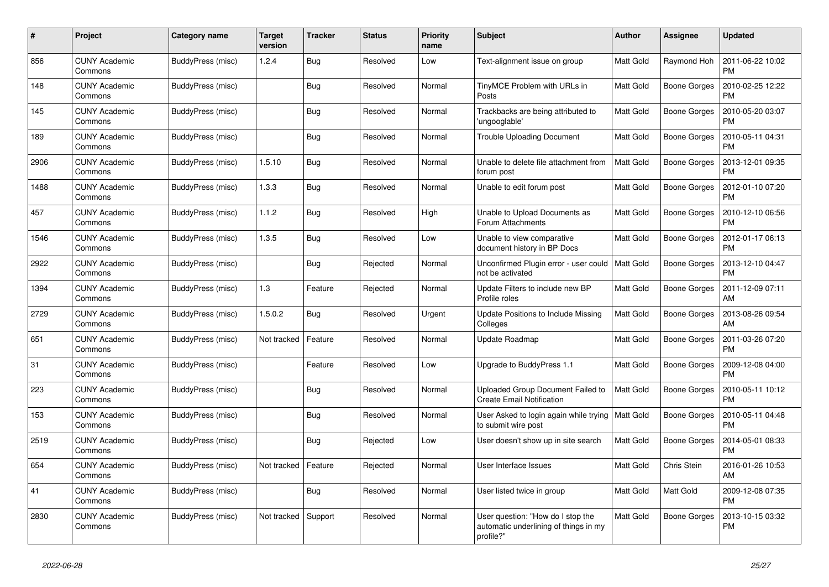| #    | Project                         | Category name     | Target<br>version | <b>Tracker</b> | <b>Status</b> | <b>Priority</b><br>name | <b>Subject</b>                                                                          | <b>Author</b>    | Assignee            | <b>Updated</b>                |
|------|---------------------------------|-------------------|-------------------|----------------|---------------|-------------------------|-----------------------------------------------------------------------------------------|------------------|---------------------|-------------------------------|
| 856  | <b>CUNY Academic</b><br>Commons | BuddyPress (misc) | 1.2.4             | <b>Bug</b>     | Resolved      | Low                     | Text-alignment issue on group                                                           | <b>Matt Gold</b> | Raymond Hoh         | 2011-06-22 10:02<br><b>PM</b> |
| 148  | <b>CUNY Academic</b><br>Commons | BuddyPress (misc) |                   | Bug            | Resolved      | Normal                  | TinyMCE Problem with URLs in<br>Posts                                                   | <b>Matt Gold</b> | <b>Boone Gorges</b> | 2010-02-25 12:22<br><b>PM</b> |
| 145  | <b>CUNY Academic</b><br>Commons | BuddyPress (misc) |                   | <b>Bug</b>     | Resolved      | Normal                  | Trackbacks are being attributed to<br>'ungooglable'                                     | Matt Gold        | Boone Gorges        | 2010-05-20 03:07<br><b>PM</b> |
| 189  | <b>CUNY Academic</b><br>Commons | BuddyPress (misc) |                   | Bug            | Resolved      | Normal                  | <b>Trouble Uploading Document</b>                                                       | <b>Matt Gold</b> | Boone Gorges        | 2010-05-11 04:31<br><b>PM</b> |
| 2906 | <b>CUNY Academic</b><br>Commons | BuddyPress (misc) | 1.5.10            | <b>Bug</b>     | Resolved      | Normal                  | Unable to delete file attachment from<br>forum post                                     | Matt Gold        | Boone Gorges        | 2013-12-01 09:35<br><b>PM</b> |
| 1488 | <b>CUNY Academic</b><br>Commons | BuddyPress (misc) | 1.3.3             | Bug            | Resolved      | Normal                  | Unable to edit forum post                                                               | <b>Matt Gold</b> | Boone Gorges        | 2012-01-10 07:20<br><b>PM</b> |
| 457  | <b>CUNY Academic</b><br>Commons | BuddyPress (misc) | 1.1.2             | <b>Bug</b>     | Resolved      | High                    | Unable to Upload Documents as<br>Forum Attachments                                      | <b>Matt Gold</b> | Boone Gorges        | 2010-12-10 06:56<br><b>PM</b> |
| 1546 | <b>CUNY Academic</b><br>Commons | BuddyPress (misc) | 1.3.5             | Bug            | Resolved      | Low                     | Unable to view comparative<br>document history in BP Docs                               | <b>Matt Gold</b> | <b>Boone Gorges</b> | 2012-01-17 06:13<br><b>PM</b> |
| 2922 | <b>CUNY Academic</b><br>Commons | BuddyPress (misc) |                   | <b>Bug</b>     | Rejected      | Normal                  | Unconfirmed Plugin error - user could<br>not be activated                               | <b>Matt Gold</b> | <b>Boone Gorges</b> | 2013-12-10 04:47<br><b>PM</b> |
| 1394 | <b>CUNY Academic</b><br>Commons | BuddyPress (misc) | 1.3               | Feature        | Rejected      | Normal                  | Update Filters to include new BP<br>Profile roles                                       | <b>Matt Gold</b> | Boone Gorges        | 2011-12-09 07:11<br>AM        |
| 2729 | <b>CUNY Academic</b><br>Commons | BuddyPress (misc) | 1.5.0.2           | Bug            | Resolved      | Urgent                  | Update Positions to Include Missing<br>Colleges                                         | <b>Matt Gold</b> | Boone Gorges        | 2013-08-26 09:54<br>AM        |
| 651  | <b>CUNY Academic</b><br>Commons | BuddyPress (misc) | Not tracked       | Feature        | Resolved      | Normal                  | Update Roadmap                                                                          | <b>Matt Gold</b> | Boone Gorges        | 2011-03-26 07:20<br><b>PM</b> |
| 31   | <b>CUNY Academic</b><br>Commons | BuddyPress (misc) |                   | Feature        | Resolved      | Low                     | Upgrade to BuddyPress 1.1                                                               | Matt Gold        | Boone Gorges        | 2009-12-08 04:00<br><b>PM</b> |
| 223  | <b>CUNY Academic</b><br>Commons | BuddyPress (misc) |                   | Bug            | Resolved      | Normal                  | Uploaded Group Document Failed to<br><b>Create Email Notification</b>                   | <b>Matt Gold</b> | Boone Gorges        | 2010-05-11 10:12<br><b>PM</b> |
| 153  | <b>CUNY Academic</b><br>Commons | BuddyPress (misc) |                   | Bug            | Resolved      | Normal                  | User Asked to login again while trying<br>to submit wire post                           | <b>Matt Gold</b> | Boone Gorges        | 2010-05-11 04:48<br><b>PM</b> |
| 2519 | <b>CUNY Academic</b><br>Commons | BuddyPress (misc) |                   | Bug            | Rejected      | Low                     | User doesn't show up in site search                                                     | Matt Gold        | Boone Gorges        | 2014-05-01 08:33<br><b>PM</b> |
| 654  | <b>CUNY Academic</b><br>Commons | BuddyPress (misc) | Not tracked       | Feature        | Rejected      | Normal                  | User Interface Issues                                                                   | Matt Gold        | Chris Stein         | 2016-01-26 10:53<br>AM        |
| 41   | <b>CUNY Academic</b><br>Commons | BuddyPress (misc) |                   | Bug            | Resolved      | Normal                  | User listed twice in group                                                              | Matt Gold        | Matt Gold           | 2009-12-08 07:35<br><b>PM</b> |
| 2830 | CUNY Academic<br>Commons        | BuddyPress (misc) | Not tracked       | Support        | Resolved      | Normal                  | User question: "How do I stop the<br>automatic underlining of things in my<br>profile?" | <b>Matt Gold</b> | Boone Gorges        | 2013-10-15 03:32<br><b>PM</b> |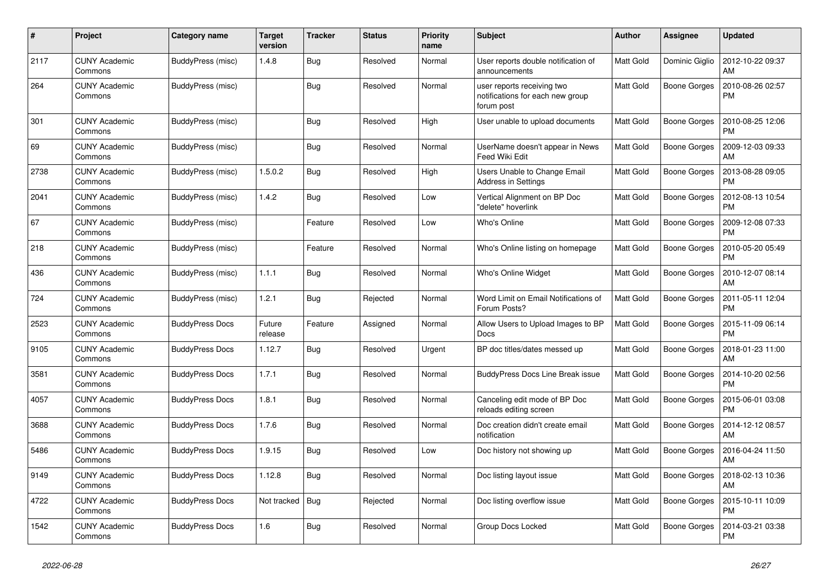| #    | Project                         | Category name          | Target<br>version | <b>Tracker</b> | <b>Status</b> | <b>Priority</b><br>name | <b>Subject</b>                                                               | <b>Author</b>    | Assignee            | <b>Updated</b>                |
|------|---------------------------------|------------------------|-------------------|----------------|---------------|-------------------------|------------------------------------------------------------------------------|------------------|---------------------|-------------------------------|
| 2117 | <b>CUNY Academic</b><br>Commons | BuddyPress (misc)      | 1.4.8             | <b>Bug</b>     | Resolved      | Normal                  | User reports double notification of<br>announcements                         | <b>Matt Gold</b> | Dominic Giglio      | 2012-10-22 09:37<br>AM        |
| 264  | <b>CUNY Academic</b><br>Commons | BuddyPress (misc)      |                   | Bug            | Resolved      | Normal                  | user reports receiving two<br>notifications for each new group<br>forum post | <b>Matt Gold</b> | <b>Boone Gorges</b> | 2010-08-26 02:57<br>PM        |
| 301  | <b>CUNY Academic</b><br>Commons | BuddyPress (misc)      |                   | <b>Bug</b>     | Resolved      | High                    | User unable to upload documents                                              | Matt Gold        | Boone Gorges        | 2010-08-25 12:06<br><b>PM</b> |
| 69   | <b>CUNY Academic</b><br>Commons | BuddyPress (misc)      |                   | <b>Bug</b>     | Resolved      | Normal                  | UserName doesn't appear in News<br>Feed Wiki Edit                            | <b>Matt Gold</b> | <b>Boone Gorges</b> | 2009-12-03 09:33<br>AM        |
| 2738 | <b>CUNY Academic</b><br>Commons | BuddyPress (misc)      | 1.5.0.2           | Bug            | Resolved      | High                    | Users Unable to Change Email<br>Address in Settings                          | <b>Matt Gold</b> | Boone Gorges        | 2013-08-28 09:05<br><b>PM</b> |
| 2041 | <b>CUNY Academic</b><br>Commons | BuddyPress (misc)      | 1.4.2             | Bug            | Resolved      | Low                     | Vertical Alignment on BP Doc<br>"delete" hoverlink                           | <b>Matt Gold</b> | Boone Gorges        | 2012-08-13 10:54<br><b>PM</b> |
| 67   | <b>CUNY Academic</b><br>Commons | BuddyPress (misc)      |                   | Feature        | Resolved      | Low                     | Who's Online                                                                 | <b>Matt Gold</b> | <b>Boone Gorges</b> | 2009-12-08 07:33<br><b>PM</b> |
| 218  | <b>CUNY Academic</b><br>Commons | BuddyPress (misc)      |                   | Feature        | Resolved      | Normal                  | Who's Online listing on homepage                                             | <b>Matt Gold</b> | Boone Gorges        | 2010-05-20 05:49<br><b>PM</b> |
| 436  | <b>CUNY Academic</b><br>Commons | BuddyPress (misc)      | 1.1.1             | <b>Bug</b>     | Resolved      | Normal                  | Who's Online Widget                                                          | <b>Matt Gold</b> | Boone Gorges        | 2010-12-07 08:14<br>AM        |
| 724  | <b>CUNY Academic</b><br>Commons | BuddyPress (misc)      | 1.2.1             | <b>Bug</b>     | Rejected      | Normal                  | Word Limit on Email Notifications of<br>Forum Posts?                         | Matt Gold        | <b>Boone Gorges</b> | 2011-05-11 12:04<br><b>PM</b> |
| 2523 | <b>CUNY Academic</b><br>Commons | <b>BuddyPress Docs</b> | Future<br>release | Feature        | Assigned      | Normal                  | Allow Users to Upload Images to BP<br>Docs                                   | <b>Matt Gold</b> | Boone Gorges        | 2015-11-09 06:14<br><b>PM</b> |
| 9105 | <b>CUNY Academic</b><br>Commons | <b>BuddyPress Docs</b> | 1.12.7            | <b>Bug</b>     | Resolved      | Urgent                  | BP doc titles/dates messed up                                                | <b>Matt Gold</b> | <b>Boone Gorges</b> | 2018-01-23 11:00<br>AM        |
| 3581 | <b>CUNY Academic</b><br>Commons | <b>BuddyPress Docs</b> | 1.7.1             | <b>Bug</b>     | Resolved      | Normal                  | <b>BuddyPress Docs Line Break issue</b>                                      | <b>Matt Gold</b> | Boone Gorges        | 2014-10-20 02:56<br><b>PM</b> |
| 4057 | <b>CUNY Academic</b><br>Commons | <b>BuddyPress Docs</b> | 1.8.1             | <b>Bug</b>     | Resolved      | Normal                  | Canceling edit mode of BP Doc<br>reloads editing screen                      | <b>Matt Gold</b> | Boone Gorges        | 2015-06-01 03:08<br><b>PM</b> |
| 3688 | <b>CUNY Academic</b><br>Commons | <b>BuddyPress Docs</b> | 1.7.6             | <b>Bug</b>     | Resolved      | Normal                  | Doc creation didn't create email<br>notification                             | <b>Matt Gold</b> | <b>Boone Gorges</b> | 2014-12-12 08:57<br>AM        |
| 5486 | <b>CUNY Academic</b><br>Commons | <b>BuddyPress Docs</b> | 1.9.15            | <b>Bug</b>     | Resolved      | Low                     | Doc history not showing up                                                   | <b>Matt Gold</b> | <b>Boone Gorges</b> | 2016-04-24 11:50<br>AM        |
| 9149 | <b>CUNY Academic</b><br>Commons | <b>BuddyPress Docs</b> | 1.12.8            | <b>Bug</b>     | Resolved      | Normal                  | Doc listing layout issue                                                     | <b>Matt Gold</b> | Boone Gorges        | 2018-02-13 10:36<br>AM        |
| 4722 | <b>CUNY Academic</b><br>Commons | <b>BuddyPress Docs</b> | Not tracked       | <b>Bug</b>     | Rejected      | Normal                  | Doc listing overflow issue                                                   | <b>Matt Gold</b> | <b>Boone Gorges</b> | 2015-10-11 10:09<br><b>PM</b> |
| 1542 | CUNY Academic<br>Commons        | <b>BuddyPress Docs</b> | 1.6               | <b>Bug</b>     | Resolved      | Normal                  | Group Docs Locked                                                            | <b>Matt Gold</b> | <b>Boone Gorges</b> | 2014-03-21 03:38<br>PM        |